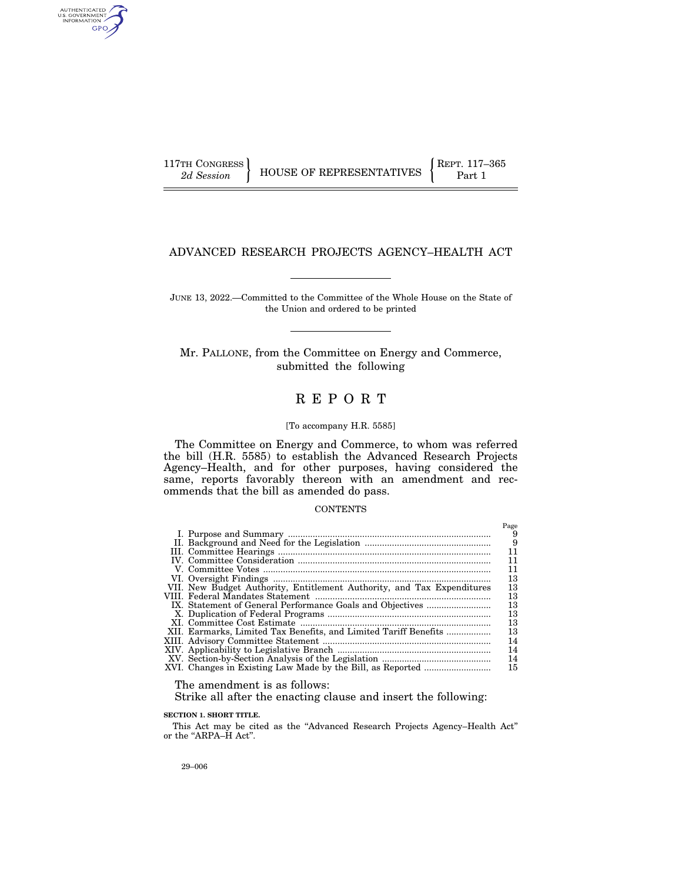AUTHENTICATED<br>U.S. GOVERNMENT<br>INFORMATION GPO

# ADVANCED RESEARCH PROJECTS AGENCY–HEALTH ACT

JUNE 13, 2022.—Committed to the Committee of the Whole House on the State of the Union and ordered to be printed

Mr. PALLONE, from the Committee on Energy and Commerce, submitted the following

# R E P O R T

#### [To accompany H.R. 5585]

The Committee on Energy and Commerce, to whom was referred the bill (H.R. 5585) to establish the Advanced Research Projects Agency–Health, and for other purposes, having considered the same, reports favorably thereon with an amendment and recommends that the bill as amended do pass.

# **CONTENTS**

|                                                                        | Page |
|------------------------------------------------------------------------|------|
|                                                                        | 9    |
|                                                                        | - 9  |
|                                                                        | 11   |
|                                                                        | 11   |
|                                                                        | 11   |
|                                                                        | 13   |
| VII. New Budget Authority, Entitlement Authority, and Tax Expenditures | 13   |
|                                                                        | 13   |
|                                                                        | 13   |
|                                                                        | 13   |
|                                                                        | 13   |
| XII. Earmarks, Limited Tax Benefits, and Limited Tariff Benefits       | 13   |
|                                                                        | 14   |
|                                                                        | 14   |
|                                                                        | 14   |
|                                                                        | 15   |
|                                                                        |      |

The amendment is as follows:

Strike all after the enacting clause and insert the following:

**SECTION 1. SHORT TITLE.** 

This Act may be cited as the ''Advanced Research Projects Agency–Health Act'' or the "ARPA-H Act".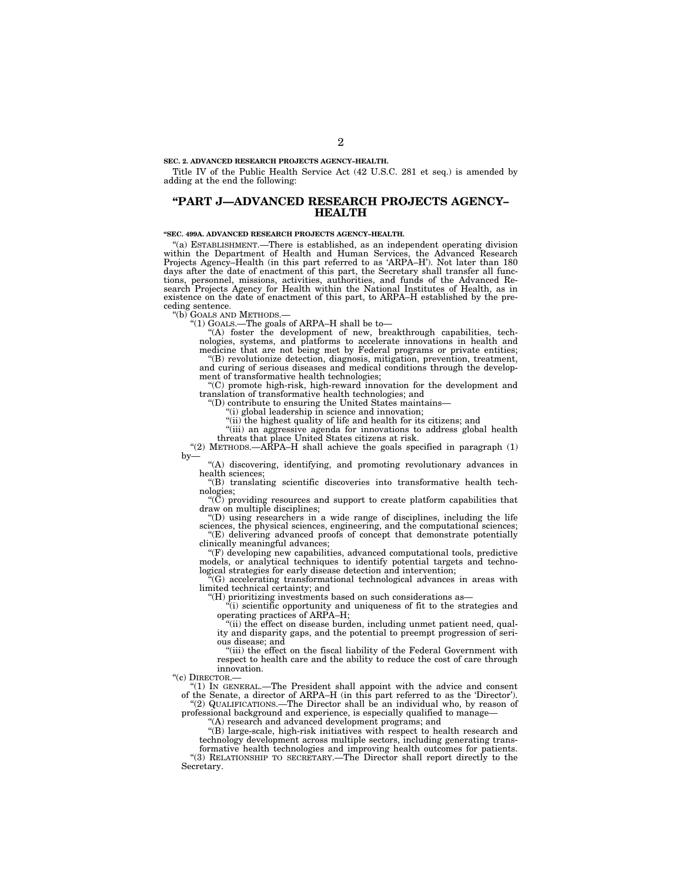#### **SEC. 2. ADVANCED RESEARCH PROJECTS AGENCY–HEALTH.**

Title IV of the Public Health Service Act (42 U.S.C. 281 et seq.) is amended by adding at the end the following:

## **''PART J—ADVANCED RESEARCH PROJECTS AGENCY– HEALTH**

#### **''SEC. 499A. ADVANCED RESEARCH PROJECTS AGENCY–HEALTH.**

"(a) ESTABLISHMENT.—There is established, as an independent operating division within the Department of Health and Human Services, the Advanced Research Projects Agency–Health (in this part referred to as 'ARPA–H'). Not la days after the date of enactment of this part, the Secretary shall transfer all functions, personnel, missions, activities, authorities, and funds of the Advanced Re-search Projects Agency for Health within the National Institutes of Health, as in existence on the date of enactment of this part, to ARPA–H established by the preceding sentence.<br>"(b) GOALS AND METHODS.-

"(1) GOALS.—The goals of ARPA–H shall be to—

"(A) foster the development of new, breakthrough capabilities, technologies, systems, and platforms to accelerate innovations in health and medicine that are not being met by Federal programs or private entities;

''(B) revolutionize detection, diagnosis, mitigation, prevention, treatment, and curing of serious diseases and medical conditions through the development of transformative health technologies;

''(C) promote high-risk, high-reward innovation for the development and translation of transformative health technologies; and

 $(1)$  contribute to ensuring the United States maintains—

 $''(i)$  global leadership in science and innovation;

''(ii) the highest quality of life and health for its citizens; and

''(iii) an aggressive agenda for innovations to address global health threats that place United States citizens at risk.

''(2) METHODS.—ARPA–H shall achieve the goals specified in paragraph (1) by—

''(A) discovering, identifying, and promoting revolutionary advances in health sciences;

''(B) translating scientific discoveries into transformative health technologies;

" $(\breve{C})$  providing resources and support to create platform capabilities that draw on multiple disciplines;

 $'(D)$  using researchers in a wide range of disciplines, including the life sciences, the physical sciences, engineering, and the computational sciences;  $E(E)$  delivering advanced proofs of concept that demonstrate potentially clinically meaningful advances;

 $f(F)$  developing new capabilities, advanced computational tools, predictive models, or analytical techniques to identify potential targets and technological strategies for early disease detection and intervention;

''(G) accelerating transformational technological advances in areas with limited technical certainty; and

''(H) prioritizing investments based on such considerations as—

(i) scientific opportunity and uniqueness of fit to the strategies and operating practices of ARPA–H;

''(ii) the effect on disease burden, including unmet patient need, quality and disparity gaps, and the potential to preempt progression of serious disease; and

"(iii) the effect on the fiscal liability of the Federal Government with respect to health care and the ability to reduce the cost of care through innovation.

"(c) DIRECTOR.

(1) IN GENERAL.—The President shall appoint with the advice and consent of the Senate, a director of ARPA–H (in this part referred to as the 'Director'). ''(2) QUALIFICATIONS.—The Director shall be an individual who, by reason of professional background and experience, is especially qualified to manage—

'(A) research and advanced development programs; and

''(B) large-scale, high-risk initiatives with respect to health research and technology development across multiple sectors, including generating trans-

formative health technologies and improving health outcomes for patients. ''(3) RELATIONSHIP TO SECRETARY.—The Director shall report directly to the Secretary.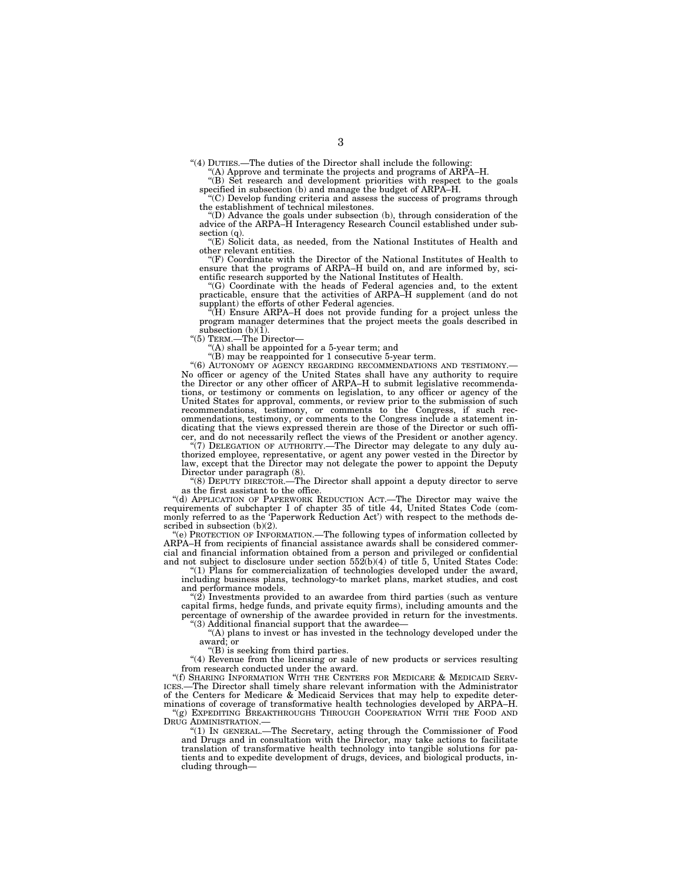"(4) DUTIES.—The duties of the Director shall include the following

 $($ A) Approve and terminate the projects and programs of ARPA–H.

"(B) Set research and development priorities with respect to the goals specified in subsection (b) and manage the budget of ARPA–H.

''(C) Develop funding criteria and assess the success of programs through the establishment of technical milestones.

''(D) Advance the goals under subsection (b), through consideration of the advice of the ARPA–H Interagency Research Council established under subsection (q).

''(E) Solicit data, as needed, from the National Institutes of Health and other relevant entities.

''(F) Coordinate with the Director of the National Institutes of Health to ensure that the programs of ARPA–H build on, and are informed by, scientific research supported by the National Institutes of Health.

"(G) Coordinate with the heads of Federal agencies and, to the extent practicable, ensure that the activities of ARPA–H supplement (and do not supplant) the efforts of other Federal agencies.

''(H) Ensure ARPA–H does not provide funding for a project unless the program manager determines that the project meets the goals described in subsection  $(b)(1)$ .

''(5) TERM.—The Director—

''(A) shall be appointed for a 5-year term; and

''(B) may be reappointed for 1 consecutive 5-year term.

''(6) AUTONOMY OF AGENCY REGARDING RECOMMENDATIONS AND TESTIMONY.— No officer or agency of the United States shall have any authority to require the Director or any other officer of ARPA–H to submit legislative recommendations, or testimony or comments on legislation, to any officer or agency of the United States for approval, comments, or review prior to the submission of such recommendations, testimony, or comments to the Congress, if such recommendations, testimony, or comments to the Congress include a statement indicating that the views expressed therein are those of the Director or such officer, and do not necessarily reflect the views of the President or another agency.

''(7) DELEGATION OF AUTHORITY.—The Director may delegate to any duly authorized employee, representative, or agent any power vested in the Director by law, except that the Director may not delegate the power to appoint the Deputy Director under paragraph (8).

''(8) DEPUTY DIRECTOR.—The Director shall appoint a deputy director to serve as the first assistant to the office.

''(d) APPLICATION OF PAPERWORK REDUCTION ACT.—The Director may waive the requirements of subchapter I of chapter 35 of title 44, United States Code (commonly referred to as the 'Paperwork Reduction Act') with respect to the methods described in subsection (b)(2).

''(e) PROTECTION OF INFORMATION.—The following types of information collected by ARPA–H from recipients of financial assistance awards shall be considered commercial and financial information obtained from a person and privileged or confidential and not subject to disclosure under section  $552(b)(4)$  of title 5, United States Code:

''(1) Plans for commercialization of technologies developed under the award, including business plans, technology-to market plans, market studies, and cost and performance models.

" $(2)$  Investments provided to an awardee from third parties (such as venture capital firms, hedge funds, and private equity firms), including amounts and the percentage of ownership of the awardee provided in return for the investments.

''(3) Additional financial support that the awardee— ''(A) plans to invest or has invested in the technology developed under the award; or

''(B) is seeking from third parties.

''(4) Revenue from the licensing or sale of new products or services resulting from research conducted under the award.

"(f) SHARING INFORMATION WITH THE CENTERS FOR MEDICARE & MEDICAID SERV-ICES.—The Director shall timely share relevant information with the Administrator of the Centers for Medicare & Medicaid Services that may help to expedite determinations of coverage of transformative health technologies developed by ARPA–H.

''(g) EXPEDITING BREAKTHROUGHS THROUGH COOPERATION WITH THE FOOD AND DRUG ADMINISTRATION.

''(1) IN GENERAL.—The Secretary, acting through the Commissioner of Food and Drugs and in consultation with the Director, may take actions to facilitate translation of transformative health technology into tangible solutions for patients and to expedite development of drugs, devices, and biological products, including through—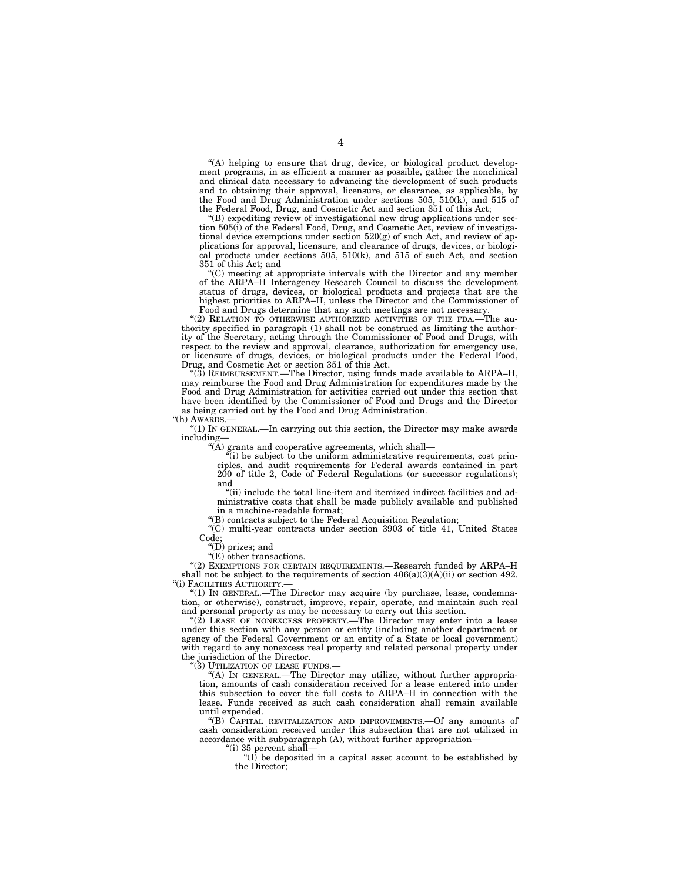"(A) helping to ensure that drug, device, or biological product development programs, in as efficient a manner as possible, gather the nonclinical and clinical data necessary to advancing the development of such products and to obtaining their approval, licensure, or clearance, as applicable, by the Food and Drug Administration under sections 505, 510(k), and 515 of the Federal Food, Drug, and Cosmetic Act and section 351 of this Act;

''(B) expediting review of investigational new drug applications under section 505(i) of the Federal Food, Drug, and Cosmetic Act, review of investigational device exemptions under section 520(g) of such Act, and review of applications for approval, licensure, and clearance of drugs, devices, or biological products under sections 505, 510(k), and 515 of such Act, and section 351 of this Act; and

''(C) meeting at appropriate intervals with the Director and any member of the ARPA–H Interagency Research Council to discuss the development status of drugs, devices, or biological products and projects that are the highest priorities to ARPA–H, unless the Director and the Commissioner of Food and Drugs determine that any such meetings are not necessary.

''(2) RELATION TO OTHERWISE AUTHORIZED ACTIVITIES OF THE FDA.—The authority specified in paragraph (1) shall not be construed as limiting the authority of the Secretary, acting through the Commissioner of Food and Drugs, with respect to the review and approval, clearance, authorization for emergency use, or licensure of drugs, devices, or biological products under the Federal Food, Drug, and Cosmetic Act or section 351 of this Act.

''(3) REIMBURSEMENT.—The Director, using funds made available to ARPA–H, may reimburse the Food and Drug Administration for expenditures made by the Food and Drug Administration for activities carried out under this section that have been identified by the Commissioner of Food and Drugs and the Director as being carried out by the Food and Drug Administration.

"(h) AWARDS.

''(1) IN GENERAL.—In carrying out this section, the Director may make awards including—

''(A) grants and cooperative agreements, which shall—

''(i) be subject to the uniform administrative requirements, cost principles, and audit requirements for Federal awards contained in part 200 of title 2, Code of Federal Regulations (or successor regulations); and

"(ii) include the total line-item and itemized indirect facilities and administrative costs that shall be made publicly available and published in a machine-readable format;

''(B) contracts subject to the Federal Acquisition Regulation;

''(C) multi-year contracts under section 3903 of title 41, United States Code;

''(D) prizes; and

''(E) other transactions.

''(2) EXEMPTIONS FOR CERTAIN REQUIREMENTS.—Research funded by ARPA–H shall not be subject to the requirements of section  $406(a)(3)(A)(ii)$  or section 492. "(i) FACILITIES AUTHORITY.-

"(1) IN GENERAL.—The Director may acquire (by purchase, lease, condemnation, or otherwise), construct, improve, repair, operate, and maintain such real and personal property as may be necessary to carry out this section.

"(2) LEASE OF NONEXCESS PROPERTY.—The Director may enter into a lease under this section with any person or entity (including another department or agency of the Federal Government or an entity of a State or local government) with regard to any nonexcess real property and related personal property under the jurisdiction of the Director.

''(3) UTILIZATION OF LEASE FUNDS.—

''(A) IN GENERAL.—The Director may utilize, without further appropriation, amounts of cash consideration received for a lease entered into under this subsection to cover the full costs to ARPA–H in connection with the lease. Funds received as such cash consideration shall remain available until expended.

''(B) CAPITAL REVITALIZATION AND IMPROVEMENTS.—Of any amounts of cash consideration received under this subsection that are not utilized in accordance with subparagraph (A), without further appropriation—

''(i) 35 percent shall—

''(I) be deposited in a capital asset account to be established by the Director;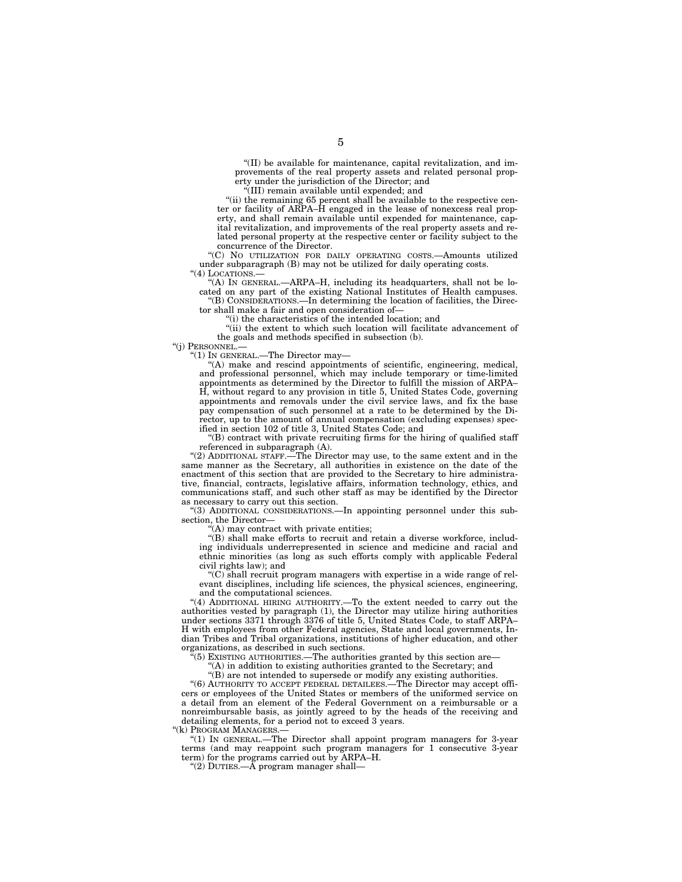''(II) be available for maintenance, capital revitalization, and improvements of the real property assets and related personal property under the jurisdiction of the Director; and

''(III) remain available until expended; and

"(ii) the remaining 65 percent shall be available to the respective center or facility of ARPA–H engaged in the lease of nonexcess real property, and shall remain available until expended for maintenance, capital revitalization, and improvements of the real property assets and related personal property at the respective center or facility subject to the concurrence of the Director.

''(C) NO UTILIZATION FOR DAILY OPERATING COSTS.—Amounts utilized under subparagraph (B) may not be utilized for daily operating costs. "(4) LOCATIONS.-

''(A) IN GENERAL.—ARPA–H, including its headquarters, shall not be located on any part of the existing National Institutes of Health campuses. ''(B) CONSIDERATIONS.—In determining the location of facilities, the Direc-

tor shall make a fair and open consideration of— ''(i) the characteristics of the intended location; and

''(ii) the extent to which such location will facilitate advancement of the goals and methods specified in subsection (b).

''(j) PERSONNEL.—

''(1) IN GENERAL.—The Director may—

''(A) make and rescind appointments of scientific, engineering, medical, and professional personnel, which may include temporary or time-limited appointments as determined by the Director to fulfill the mission of ARPA– H, without regard to any provision in title 5, United States Code, governing appointments and removals under the civil service laws, and fix the base pay compensation of such personnel at a rate to be determined by the Director, up to the amount of annual compensation (excluding expenses) specified in section 102 of title 3, United States Code; and

''(B) contract with private recruiting firms for the hiring of qualified staff referenced in subparagraph (A).

" $(2)$  ADDITIONAL STAFF.—The Director may use, to the same extent and in the same manner as the Secretary, all authorities in existence on the date of the enactment of this section that are provided to the Secretary to hire administrative, financial, contracts, legislative affairs, information technology, ethics, and communications staff, and such other staff as may be identified by the Director as necessary to carry out this section.

''(3) ADDITIONAL CONSIDERATIONS.—In appointing personnel under this subsection, the Director-

 $(A)$  may contract with private entities;

''(B) shall make efforts to recruit and retain a diverse workforce, including individuals underrepresented in science and medicine and racial and ethnic minorities (as long as such efforts comply with applicable Federal civil rights law); and

''(C) shall recruit program managers with expertise in a wide range of relevant disciplines, including life sciences, the physical sciences, engineering, and the computational sciences.

"(4) ADDITIONAL HIRING AUTHORITY.—To the extent needed to carry out the authorities vested by paragraph (1), the Director may utilize hiring authorities under sections 3371 through 3376 of title 5, United States Code, to staff ARPA– H with employees from other Federal agencies, State and local governments, Indian Tribes and Tribal organizations, institutions of higher education, and other organizations, as described in such sections.

<sup>(5)</sup> EXISTING AUTHORITIES.—The authorities granted by this section are

"(A) in addition to existing authorities granted to the Secretary; and

''(B) are not intended to supersede or modify any existing authorities.

''(6) AUTHORITY TO ACCEPT FEDERAL DETAILEES.—The Director may accept officers or employees of the United States or members of the uniformed service on a detail from an element of the Federal Government on a reimbursable or a nonreimbursable basis, as jointly agreed to by the heads of the receiving and detailing elements, for a period not to exceed 3 years.

"(k) PROGRAM MANAGERS.-

''(1) IN GENERAL.—The Director shall appoint program managers for 3-year terms (and may reappoint such program managers for 1 consecutive 3-year term) for the programs carried out by ARPA–H.

''(2) DUTIES.—A program manager shall—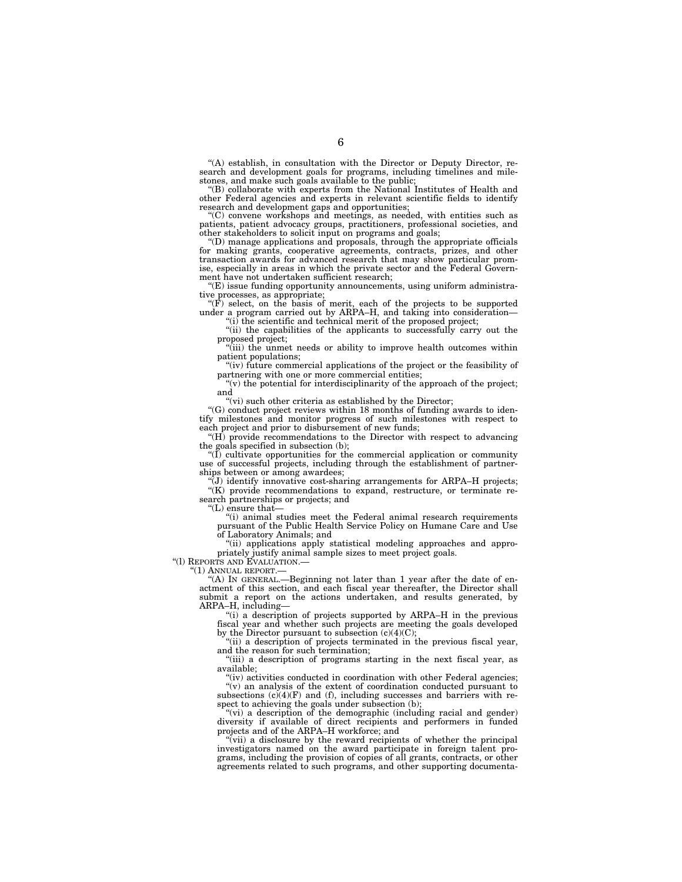"(A) establish, in consultation with the Director or Deputy Director, research and development goals for programs, including timelines and milestones, and make such goals available to the public;

''(B) collaborate with experts from the National Institutes of Health and other Federal agencies and experts in relevant scientific fields to identify research and development gaps and opportunities;

''(C) convene workshops and meetings, as needed, with entities such as patients, patient advocacy groups, practitioners, professional societies, and other stakeholders to solicit input on programs and goals;

''(D) manage applications and proposals, through the appropriate officials for making grants, cooperative agreements, contracts, prizes, and other transaction awards for advanced research that may show particular prom-ise, especially in areas in which the private sector and the Federal Government have not undertaken sufficient research;

''(E) issue funding opportunity announcements, using uniform administra-

tive processes, as appropriate;<br>"(F) select, on the basis of merit, each of the projects to be supported under a program carried out by ARPA–H, and taking into consideration— "(i) the scientific and technical merit of the proposed project;

''(ii) the capabilities of the applicants to successfully carry out the proposed project;

''(iii) the unmet needs or ability to improve health outcomes within patient populations;

"(iv) future commercial applications of the project or the feasibility of partnering with one or more commercial entities;

''(v) the potential for interdisciplinarity of the approach of the project; and

"(vi) such other criteria as established by the Director;

 $(G)$  conduct project reviews within  $18$  months of funding awards to identify milestones and monitor progress of such milestones with respect to each project and prior to disbursement of new funds;

''(H) provide recommendations to the Director with respect to advancing the goals specified in subsection (b);

" $(\tilde{I})$  cultivate opportunities for the commercial application or community use of successful projects, including through the establishment of partnerships between or among awardees;

''(J) identify innovative cost-sharing arrangements for ARPA–H projects; ''(K) provide recommendations to expand, restructure, or terminate research partnerships or projects; and

''(L) ensure that—

''(i) animal studies meet the Federal animal research requirements pursuant of the Public Health Service Policy on Humane Care and Use of Laboratory Animals; and

''(ii) applications apply statistical modeling approaches and appropriately justify animal sample sizes to meet project goals.

''(l) REPORTS AND EVALUATION.—

"(1) ANNUAL REPORT.-

 $(A)$  In GENERAL.—Beginning not later than 1 year after the date of enactment of this section, and each fiscal year thereafter, the Director shall submit a report on the actions undertaken, and results generated, by ARPA–H, including—

''(i) a description of projects supported by ARPA–H in the previous fiscal year and whether such projects are meeting the goals developed by the Director pursuant to subsection  $(c)(4)(C)$ ;

''(ii) a description of projects terminated in the previous fiscal year, and the reason for such termination;

''(iii) a description of programs starting in the next fiscal year, as available;

"(iv) activities conducted in coordination with other Federal agencies; ''(v) an analysis of the extent of coordination conducted pursuant to subsections  $(c)(4)(F)$  and  $(f)$ , including successes and barriers with respect to achieving the goals under subsection (b);

 $(vi)$  a description of the demographic (including racial and gender) diversity if available of direct recipients and performers in funded projects and of the ARPA–H workforce; and

(vii) a disclosure by the reward recipients of whether the principal investigators named on the award participate in foreign talent programs, including the provision of copies of all grants, contracts, or other agreements related to such programs, and other supporting documenta-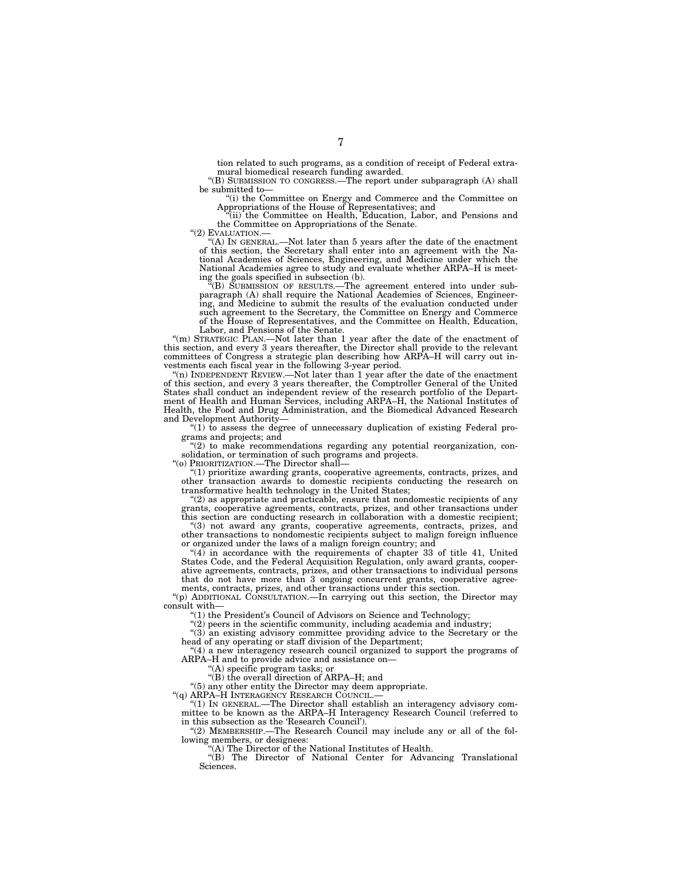tion related to such programs, as a condition of receipt of Federal extramural biomedical research funding awarded.

''(B) SUBMISSION TO CONGRESS.—The report under subparagraph (A) shall be submitted to—

''(i) the Committee on Energy and Commerce and the Committee on Appropriations of the House of Representatives; and ''(ii) the Committee on Health, Education, Labor, and Pensions and

the Committee on Appropriations of the Senate.<br>"(2) EVALUATION.—

'(A) IN GENERAL.—Not later than  $5$  years after the date of the enactment of this section, the Secretary shall enter into an agreement with the National Academies of Sciences, Engineering, and Medicine under which the National Academies agree to study and evaluate whether ARPA–H is meeting the goals specified in subsection (b). ''(B) SUBMISSION OF RESULTS.—The agreement entered into under sub-

paragraph (A) shall require the National Academies of Sciences, Engineering, and Medicine to submit the results of the evaluation conducted under such agreement to the Secretary, the Committee on Energy and Commerce of the House of Representatives, and the Committee on Health, Education,

Labor, and Pensions of the Senate.<br>
"(m) STRATEGIC PLAN.—Not later than 1 year after the date of the enactment of this section, and every 3 years thereafter, the Director shall provide to the relevant committees of Congress a strategic plan describing how ARPA–H will carry out investments each fiscal year in the following 3-year period.

"(n) INDEPENDENT REVIEW.—Not later than 1 year after the date of the enactment of this section, and every 3 years thereafter, the Comptroller General of the United States shall conduct an independent review of the research portfolio of the Department of Health and Human Services, including ARPA–H, the National Institutes of Health, the Food and Drug Administration, and the Biomedical Advanced Research and Development Authority—

"(1) to assess the degree of unnecessary duplication of existing Federal programs and projects; and

"(2) to make recommendations regarding any potential reorganization, consolidation, or termination of such programs and projects.

''(o) PRIORITIZATION.—The Director shall—

''(1) prioritize awarding grants, cooperative agreements, contracts, prizes, and other transaction awards to domestic recipients conducting the research on transformative health technology in the United States;

"(2) as appropriate and practicable, ensure that nondomestic recipients of any grants, cooperative agreements, contracts, prizes, and other transactions under

this section are conducting research in collaboration with a domestic recipient; "(3) not award any grants, cooperative agreements, contracts, prizes, and other transactions to nondomestic recipients subject to malign foreign influence or organized under the laws of a malign foreign country; and

 $(4)$  in accordance with the requirements of chapter 33 of title 41, United States Code, and the Federal Acquisition Regulation, only award grants, cooperative agreements, contracts, prizes, and other transactions to individual persons that do not have more than 3 ongoing concurrent grants, cooperative agreements, contracts, prizes, and other transactions under this section.

"(p) ADDITIONAL CONSULTATION.—In carrying out this section, the Director may consult with—

''(1) the President's Council of Advisors on Science and Technology;

"(2) peers in the scientific community, including academia and industry;

 $'(3)$  an existing advisory committee providing advice to the Secretary or the

head of any operating or staff division of the Department;

''(4) a new interagency research council organized to support the programs of ARPA–H and to provide advice and assistance on—

''(A) specific program tasks; or

''(B) the overall direction of ARPA–H; and

''(5) any other entity the Director may deem appropriate.

''(q) ARPA–H INTERAGENCY RESEARCH COUNCIL.—

" $(1)$  In GENERAL.—The Director shall establish an interagency advisory committee to be known as the ARPA–H Interagency Research Council (referred to in this subsection as the 'Research Council').

''(2) MEMBERSHIP.—The Research Council may include any or all of the following members, or designees:

''(A) The Director of the National Institutes of Health.

"(B) The Director of National Center for Advancing Translational Sciences.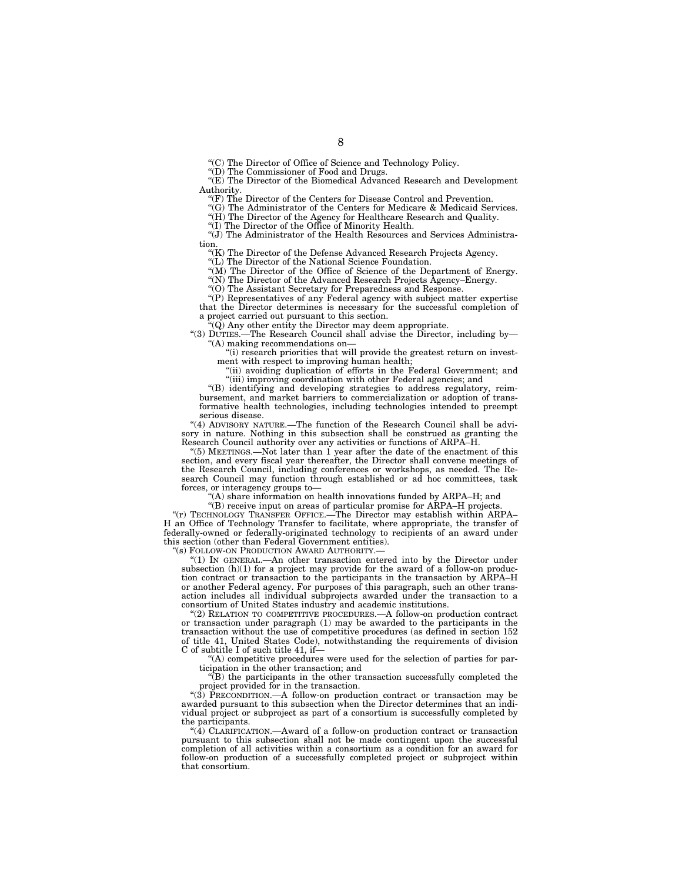''(C) The Director of Office of Science and Technology Policy.

''(D) The Commissioner of Food and Drugs.

"(E) The Director of the Biomedical Advanced Research and Development Authority.

''(F) The Director of the Centers for Disease Control and Prevention.

''(G) The Administrator of the Centers for Medicare & Medicaid Services. "(H) The Director of the Agency for Healthcare Research and Quality.

''(I) The Director of the Office of Minority Health.

''(J) The Administrator of the Health Resources and Services Administration.

"(K) The Director of the Defense Advanced Research Projects Agency.

''(L) The Director of the National Science Foundation.

 $\widetilde{f}(M)$  The Director of the Office of Science of the Department of Energy.

''(N) The Director of the Advanced Research Projects Agency–Energy.

''(O) The Assistant Secretary for Preparedness and Response.

''(P) Representatives of any Federal agency with subject matter expertise that the Director determines is necessary for the successful completion of project carried out pursuant to this section.

 $\mathcal{C}(\tilde{Q})$  Any other entity the Director may deem appropriate.

''(3) DUTIES.—The Research Council shall advise the Director, including by— ''(A) making recommendations on—

(i) research priorities that will provide the greatest return on investment with respect to improving human health;

(ii) avoiding duplication of efforts in the Federal Government; and ''(iii) improving coordination with other Federal agencies; and

''(B) identifying and developing strategies to address regulatory, reimbursement, and market barriers to commercialization or adoption of transformative health technologies, including technologies intended to preempt serious disease.

''(4) ADVISORY NATURE.—The function of the Research Council shall be advisory in nature. Nothing in this subsection shall be construed as granting the Research Council authority over any activities or functions of ARPA–H.

"(5) MEETINGS.—Not later than 1 year after the date of the enactment of this section, and every fiscal year thereafter, the Director shall convene meetings of the Research Council, including conferences or workshops, as needed. The Research Council may function through established or ad hoc committees, task forces, or interagency groups to—

''(A) share information on health innovations funded by ARPA–H; and

''(B) receive input on areas of particular promise for ARPA–H projects.

''(r) TECHNOLOGY TRANSFER OFFICE.—The Director may establish within ARPA– H an Office of Technology Transfer to facilitate, where appropriate, the transfer of federally-owned or federally-originated technology to recipients of an award under this section (other than Federal Government entities).

"(s) FOLLOW-ON PRODUCTION AWARD AUTHORITY.

''(1) IN GENERAL.—An other transaction entered into by the Director under subsection  $(h)(1)$  for a project may provide for the award of a follow-on production contract or transaction to the participants in the transaction by ARPA–H or another Federal agency. For purposes of this paragraph, such an other transaction includes all individual subprojects awarded under the transaction to a consortium of United States industry and academic institutions.

''(2) RELATION TO COMPETITIVE PROCEDURES.—A follow-on production contract or transaction under paragraph (1) may be awarded to the participants in the transaction without the use of competitive procedures (as defined in section 152 of title 41, United States Code), notwithstanding the requirements of division C of subtitle I of such title 41, if—

''(A) competitive procedures were used for the selection of parties for participation in the other transaction; and

 $\angle$ <sup>''</sup>(B) the participants in the other transaction successfully completed the project provided for in the transaction.

''(3) PRECONDITION.—A follow-on production contract or transaction may be awarded pursuant to this subsection when the Director determines that an individual project or subproject as part of a consortium is successfully completed by the participants.

" $(4)$  CLARIFICATION.—Award of a follow-on production contract or transaction pursuant to this subsection shall not be made contingent upon the successful completion of all activities within a consortium as a condition for an award for follow-on production of a successfully completed project or subproject within that consortium.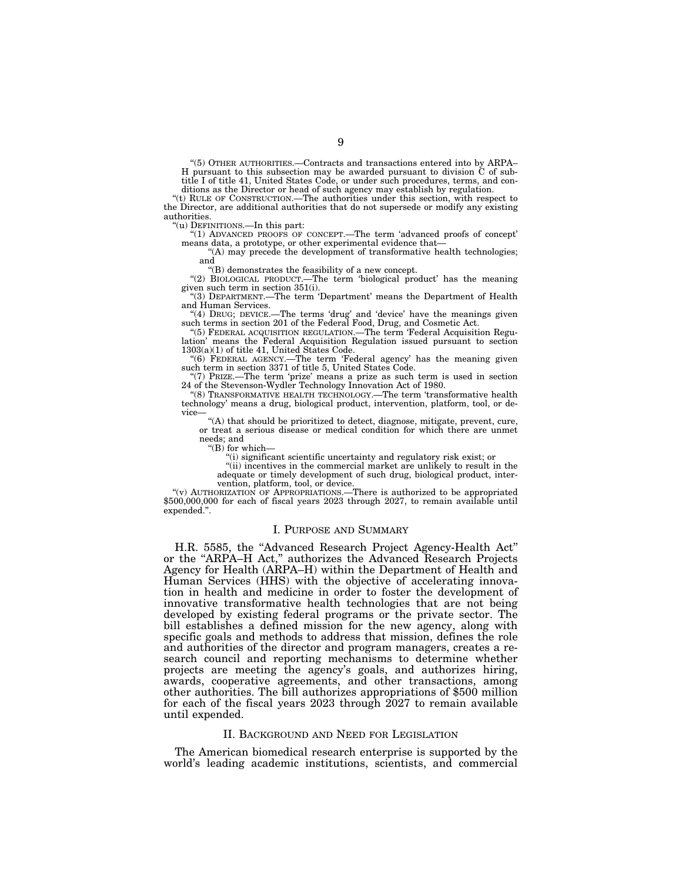''(5) OTHER AUTHORITIES.—Contracts and transactions entered into by ARPA– H pursuant to this subsection may be awarded pursuant to division C of subtitle I of title 41, United States Code, or under such procedures, terms, and conditions as the Director or head of such agency may establish by regulation.

''(t) RULE OF CONSTRUCTION.—The authorities under this section, with respect to the Director, are additional authorities that do not supersede or modify any existing authorities.

''(u) DEFINITIONS.—In this part:

''(1) ADVANCED PROOFS OF CONCEPT.—The term 'advanced proofs of concept' means data, a prototype, or other experimental evidence that—

''(A) may precede the development of transformative health technologies; and

''(B) demonstrates the feasibility of a new concept.

''(2) BIOLOGICAL PRODUCT.—The term 'biological product' has the meaning given such term in section 351(i).

''(3) DEPARTMENT.—The term 'Department' means the Department of Health and Human Services.

"(4) DRUG; DEVICE.—The terms 'drug' and 'device' have the meanings given such terms in section 201 of the Federal Food, Drug, and Cosmetic Act.

''(5) FEDERAL ACQUISITION REGULATION.—The term 'Federal Acquisition Regulation' means the Federal Acquisition Regulation issued pursuant to section 1303(a)(1) of title 41, United States Code.

"(6) FEDERAL AGENCY.—The term 'Federal agency' has the meaning given such term in section 3371 of title 5, United States Code.

''(7) PRIZE.—The term 'prize' means a prize as such term is used in section 24 of the Stevenson-Wydler Technology Innovation Act of 1980.

''(8) TRANSFORMATIVE HEALTH TECHNOLOGY.—The term 'transformative health technology' means a drug, biological product, intervention, platform, tool, or device—

''(A) that should be prioritized to detect, diagnose, mitigate, prevent, cure, or treat a serious disease or medical condition for which there are unmet needs; and

''(B) for which—

''(i) significant scientific uncertainty and regulatory risk exist; or

''(ii) incentives in the commercial market are unlikely to result in the adequate or timely development of such drug, biological product, inter-

vention, platform, tool, or device.<br>"(v) AUTHORIZATION OF APPROPRIATIONS.—There is authorized to be appropriated \$500,000,000 for each of fiscal years 2023 through 2027, to remain available until expended.''.

#### I. PURPOSE AND SUMMARY

H.R. 5585, the ''Advanced Research Project Agency-Health Act'' or the ''ARPA–H Act,'' authorizes the Advanced Research Projects Agency for Health (ARPA–H) within the Department of Health and Human Services (HHS) with the objective of accelerating innovation in health and medicine in order to foster the development of innovative transformative health technologies that are not being developed by existing federal programs or the private sector. The bill establishes a defined mission for the new agency, along with specific goals and methods to address that mission, defines the role and authorities of the director and program managers, creates a research council and reporting mechanisms to determine whether projects are meeting the agency's goals, and authorizes hiring, awards, cooperative agreements, and other transactions, among other authorities. The bill authorizes appropriations of \$500 million for each of the fiscal years 2023 through 2027 to remain available until expended.

#### II. BACKGROUND AND NEED FOR LEGISLATION

The American biomedical research enterprise is supported by the world's leading academic institutions, scientists, and commercial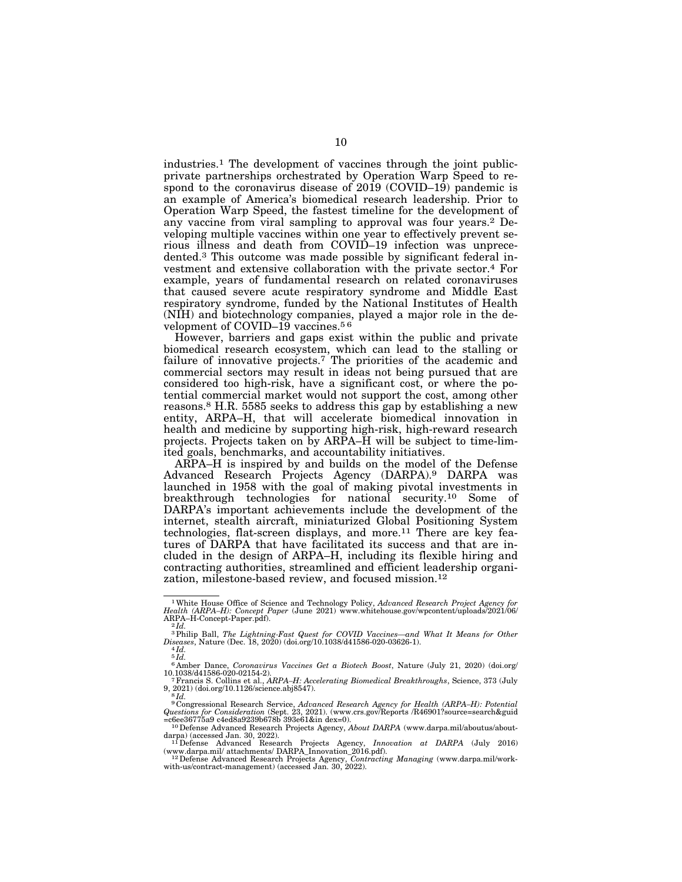industries.1 The development of vaccines through the joint publicprivate partnerships orchestrated by Operation Warp Speed to respond to the coronavirus disease of 2019 (COVID–19) pandemic is an example of America's biomedical research leadership. Prior to Operation Warp Speed, the fastest timeline for the development of any vaccine from viral sampling to approval was four years.2 Developing multiple vaccines within one year to effectively prevent serious illness and death from COVID–19 infection was unprecedented.3 This outcome was made possible by significant federal investment and extensive collaboration with the private sector.4 For example, years of fundamental research on related coronaviruses that caused severe acute respiratory syndrome and Middle East respiratory syndrome, funded by the National Institutes of Health (NIH) and biotechnology companies, played a major role in the development of COVID–19 vaccines.5 6

However, barriers and gaps exist within the public and private biomedical research ecosystem, which can lead to the stalling or failure of innovative projects.<sup>7</sup> The priorities of the academic and commercial sectors may result in ideas not being pursued that are considered too high-risk, have a significant cost, or where the potential commercial market would not support the cost, among other reasons.8 H.R. 5585 seeks to address this gap by establishing a new entity, ARPA–H, that will accelerate biomedical innovation in health and medicine by supporting high-risk, high-reward research projects. Projects taken on by ARPA–H will be subject to time-limited goals, benchmarks, and accountability initiatives.

ARPA–H is inspired by and builds on the model of the Defense Advanced Research Projects Agency (DARPA).9 DARPA was launched in 1958 with the goal of making pivotal investments in breakthrough technologies for national security.<sup>10</sup> Some of DARPA's important achievements include the development of the internet, stealth aircraft, miniaturized Global Positioning System technologies, flat-screen displays, and more.11 There are key features of DARPA that have facilitated its success and that are included in the design of ARPA–H, including its flexible hiring and contracting authorities, streamlined and efficient leadership organization, milestone-based review, and focused mission.12

5 *Id.* 

9, 2021) (doi.org/10.1126/science.abj8547). 8 *Id.* 

<sup>9</sup> Congressional Research Service, Advanced Research Agency for Health (ARPA–H): Potential Questions for Consideration (Sept. 23, 2021). (www.crs.gov/Reports /R46901?source=search&guid 1006es36775a9 c4ed8a9239b678b 393e6

<sup>1</sup>White House Office of Science and Technology Policy, *Advanced Research Project Agency for Health (ARPA–H): Concept Paper* (June 2021) www.whitehouse.gov/wpcontent/uploads/2021/06/ ARPA–H-Concept-Paper.pdf). 2 *Id.* 

<sup>3</sup>Philip Ball, *The Lightning-Fast Quest for COVID Vaccines—and What It Means for Other Diseases*, Nature (Dec. 18, 2020) (doi.org/10.1038/d41586-020-03626-1). 4 *Id.* 

<sup>6</sup> Amber Dance, *Coronavirus Vaccines Get a Biotech Boost*, Nature (July 21, 2020) (doi.org/ 10.1038/d41586-020-02154-2). 7Francis S. Collins et al., *ARPA–H: Accelerating Biomedical Breakthroughs*, Science, 373 (July

darpa) (accessed Jan. 30, 2022). 11Defense Advanced Research Projects Agency, *Innovation at DARPA* (July 2016)

<sup>(</sup>www.darpa.mil/ attachments/ DARPA\_Innovation\_2016.pdf). 12Defense Advanced Research Projects Agency, *Contracting Managing* (www.darpa.mil/work-with-us/contract-management) (accessed Jan. 30, 2022).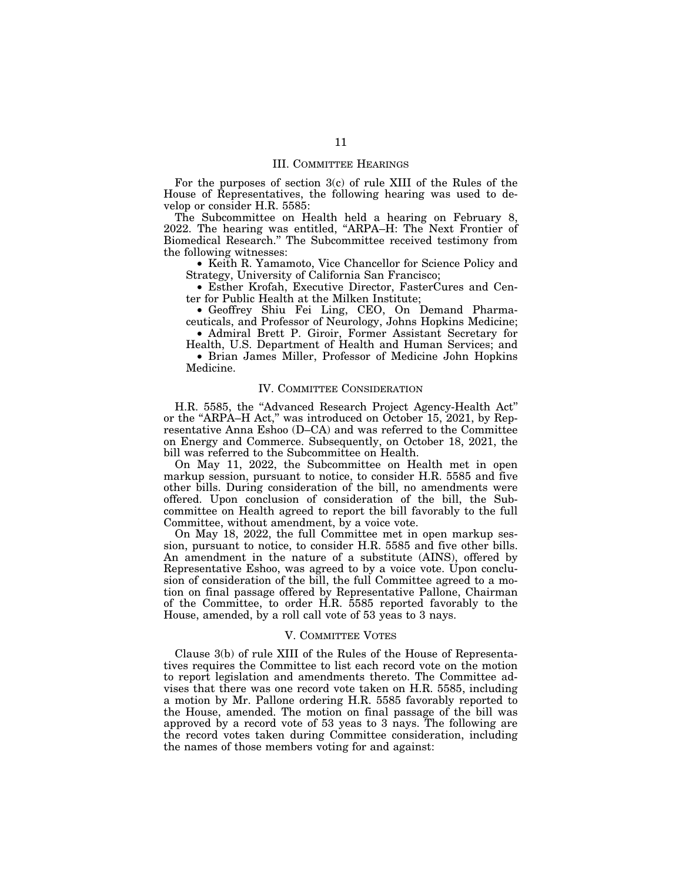#### III. COMMITTEE HEARINGS

For the purposes of section 3(c) of rule XIII of the Rules of the House of Representatives, the following hearing was used to develop or consider H.R. 5585:

The Subcommittee on Health held a hearing on February 8, 2022. The hearing was entitled, "ARPA–H: The Next Frontier of Biomedical Research.'' The Subcommittee received testimony from the following witnesses:

• Keith R. Yamamoto, Vice Chancellor for Science Policy and Strategy, University of California San Francisco;

• Esther Krofah, Executive Director, FasterCures and Center for Public Health at the Milken Institute;

• Geoffrey Shiu Fei Ling, CEO, On Demand Pharmaceuticals, and Professor of Neurology, Johns Hopkins Medicine;

• Admiral Brett P. Giroir, Former Assistant Secretary for Health, U.S. Department of Health and Human Services; and

• Brian James Miller, Professor of Medicine John Hopkins Medicine.

#### IV. COMMITTEE CONSIDERATION

H.R. 5585, the ''Advanced Research Project Agency-Health Act'' or the "ARPA–H Act," was introduced on October 15, 2021, by Representative Anna Eshoo (D–CA) and was referred to the Committee on Energy and Commerce. Subsequently, on October 18, 2021, the bill was referred to the Subcommittee on Health.

On May 11, 2022, the Subcommittee on Health met in open markup session, pursuant to notice, to consider H.R. 5585 and five other bills. During consideration of the bill, no amendments were offered. Upon conclusion of consideration of the bill, the Subcommittee on Health agreed to report the bill favorably to the full Committee, without amendment, by a voice vote.

On May 18, 2022, the full Committee met in open markup session, pursuant to notice, to consider H.R. 5585 and five other bills. An amendment in the nature of a substitute (AINS), offered by Representative Eshoo, was agreed to by a voice vote. Upon conclusion of consideration of the bill, the full Committee agreed to a motion on final passage offered by Representative Pallone, Chairman of the Committee, to order H.R. 5585 reported favorably to the House, amended, by a roll call vote of 53 yeas to 3 nays.

### V. COMMITTEE VOTES

Clause 3(b) of rule XIII of the Rules of the House of Representatives requires the Committee to list each record vote on the motion to report legislation and amendments thereto. The Committee advises that there was one record vote taken on H.R. 5585, including a motion by Mr. Pallone ordering H.R. 5585 favorably reported to the House, amended. The motion on final passage of the bill was approved by a record vote of 53 yeas to 3 nays. The following are the record votes taken during Committee consideration, including the names of those members voting for and against: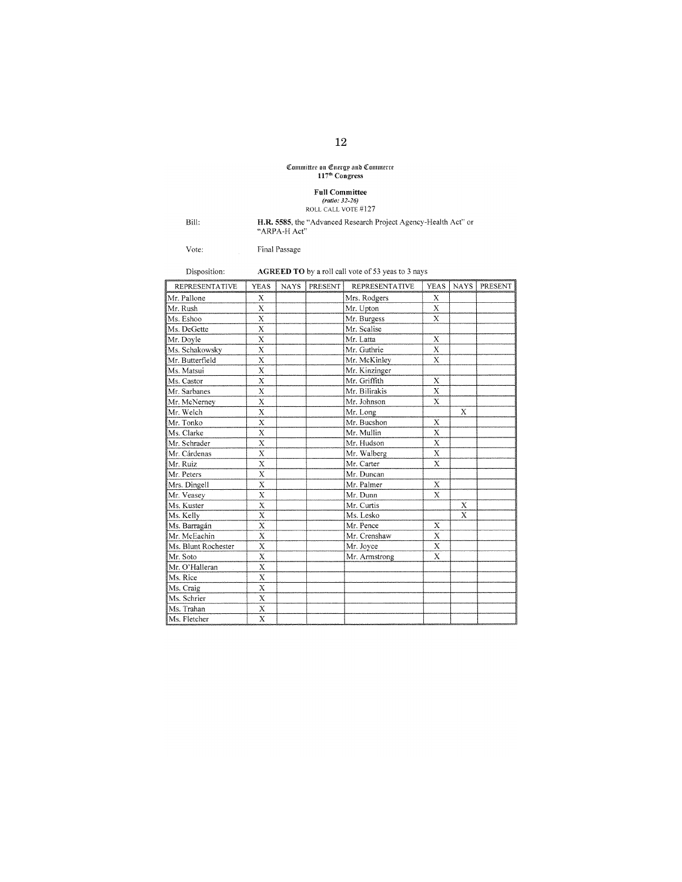# $\begin{array}{ll} \mbox{Commuttee on Energy and Commerce} \\ \mbox{117}^{\mbox{th}}~\mbox{Congress} \end{array}$

**Full Committee**<br>(*ratio: 32-26*)<br>ROLL CALL VOTE #127

Bill:

Disposition:

# $\mathbf{H.R.}$  5585, the "Advanced Research Project Agency-Health Act" or "ARPA-H Act"

Final Passage Vote:

AGREED TO by a roll call vote of 53 yeas to 3 nays

| <b>REPRESENTATIVE</b> | <b>YEAS</b>             | <b>NAYS</b> | <b>PRESENT</b> | <b>REPRESENTATIVE</b> | <b>YEAS</b>             | <b>NAYS</b>  | <b>PRESENT</b> |
|-----------------------|-------------------------|-------------|----------------|-----------------------|-------------------------|--------------|----------------|
| Mr. Pallone           | X                       |             |                | Mrs. Rodgers          | X                       |              |                |
| Mr. Rush              | X                       |             |                | Mr. Upton             | X                       |              |                |
| Ms. Eshoo             | $\bf{X}$                |             |                | Mr. Burgess           | $\bar{\mathbf{x}}$      |              |                |
| Ms. DeGette           | X                       |             |                | Mr. Scalise           |                         |              |                |
| Mr. Doyle             | X                       |             |                | Mr. Latta             | X                       |              |                |
| Ms. Schakowsky        | X                       |             |                | Mr. Guthrie           | $\overline{\textbf{X}}$ |              |                |
| Mr. Butterfield       | X                       |             |                | Mr. McKinley          | $\overline{\mathbf{X}}$ |              |                |
| Ms. Matsui            | X                       |             |                | Mr. Kinzinger         |                         |              |                |
| Ms. Castor            | X                       |             |                | Mr. Griffith          | Х                       |              |                |
| Mr. Sarbanes          | X                       |             |                | Mr. Bilirakis         | $\bar{X}$               |              |                |
| Mr. McNerney          | X                       |             |                | Mr. Johnson           | X                       |              |                |
| Mr. Welch             | $\bar{\mathbf{x}}$      |             |                | Mr. Long              |                         | X            |                |
| Mr. Tonko             | X                       |             |                | Mr. Bucshon           | X                       |              |                |
| Ms. Clarke            | X                       |             |                | Mr. Mullin            | $\overline{\mathbf{x}}$ |              |                |
| Mr. Schrader          | $\bar{X}$               |             |                | Mr. Hudson            | $\bar{\mathbf{x}}$      |              |                |
| Mr. Cárdenas          | X                       |             |                | Mr. Walberg           | X                       |              |                |
| Mr. Ruiz              | $\bar{\mathbf{x}}$      |             |                | Mr. Carter            | $\bar{X}$               |              |                |
| Mr. Peters            | X                       |             |                | Mr. Duncan            |                         |              |                |
| Mrs. Dingell          | X                       |             |                | Mr. Palmer            | X                       |              |                |
| Mr. Veasey            | X                       |             |                | Mr. Dunn              | X                       |              |                |
| Ms. Kuster            | $\overline{\mathbf{x}}$ |             |                | Mr. Curtis            |                         | X            |                |
| Ms. Kelly             | $\overline{\mathrm{x}}$ |             |                | Ms. Lesko             |                         | $\mathbf{x}$ |                |
| Ms. Barragán          | $\bf{X}$                |             |                | Mr. Pence             | X                       |              |                |
| Mr. McEachin          | X                       |             |                | Mr. Crenshaw          | X                       |              |                |
| Ms. Blunt Rochester   | X                       |             |                | Mr. Joyce             | X                       |              |                |
| Mr. Soto              | X                       |             |                | Mr. Armstrong         | $\bf{X}$                |              |                |
| Mr. O'Halleran        | $\bar{\mathbf{x}}$      |             |                |                       |                         |              |                |
| Ms. Rice              | X                       |             |                |                       |                         |              |                |
| Ms. Craig             | X                       |             |                |                       |                         |              |                |
| Ms. Schrier           | X                       |             |                |                       |                         |              |                |
| Ms. Trahan            | X                       |             |                |                       |                         |              |                |
| Ms. Fletcher          | $\overline{\mathrm{x}}$ |             |                |                       |                         |              |                |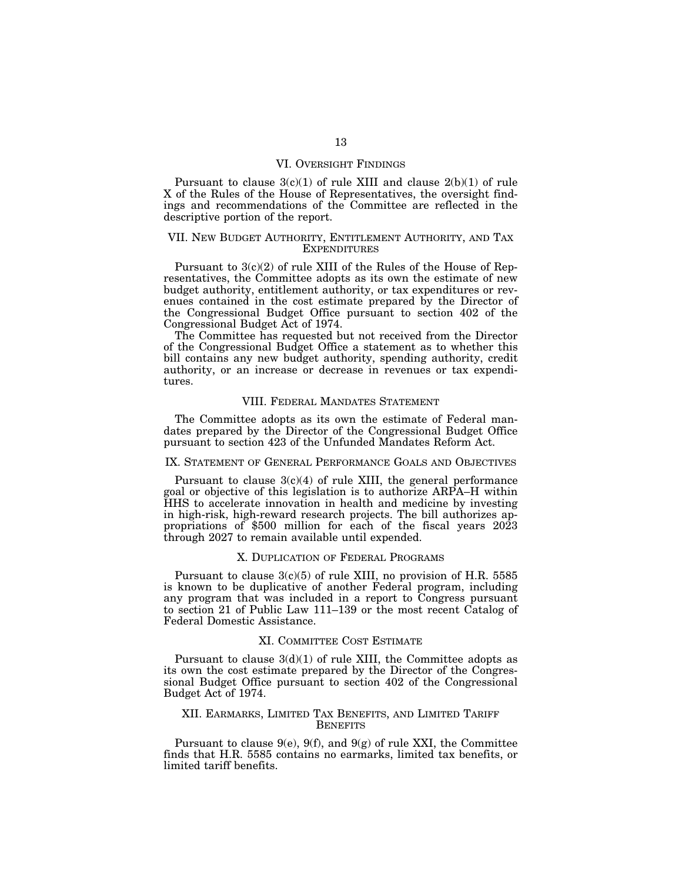#### VI. OVERSIGHT FINDINGS

Pursuant to clause  $3(c)(1)$  of rule XIII and clause  $2(b)(1)$  of rule X of the Rules of the House of Representatives, the oversight findings and recommendations of the Committee are reflected in the descriptive portion of the report.

#### VII. NEW BUDGET AUTHORITY, ENTITLEMENT AUTHORITY, AND TAX **EXPENDITURES**

Pursuant to  $3(c)(2)$  of rule XIII of the Rules of the House of Representatives, the Committee adopts as its own the estimate of new budget authority, entitlement authority, or tax expenditures or revenues contained in the cost estimate prepared by the Director of the Congressional Budget Office pursuant to section 402 of the Congressional Budget Act of 1974.

The Committee has requested but not received from the Director of the Congressional Budget Office a statement as to whether this bill contains any new budget authority, spending authority, credit authority, or an increase or decrease in revenues or tax expenditures.

#### VIII. FEDERAL MANDATES STATEMENT

The Committee adopts as its own the estimate of Federal mandates prepared by the Director of the Congressional Budget Office pursuant to section 423 of the Unfunded Mandates Reform Act.

#### IX. STATEMENT OF GENERAL PERFORMANCE GOALS AND OBJECTIVES

Pursuant to clause  $3(c)(4)$  of rule XIII, the general performance goal or objective of this legislation is to authorize ARPA–H within HHS to accelerate innovation in health and medicine by investing in high-risk, high-reward research projects. The bill authorizes appropriations of \$500 million for each of the fiscal years 2023 through 2027 to remain available until expended.

#### X. DUPLICATION OF FEDERAL PROGRAMS

Pursuant to clause 3(c)(5) of rule XIII, no provision of H.R. 5585 is known to be duplicative of another Federal program, including any program that was included in a report to Congress pursuant to section 21 of Public Law 111–139 or the most recent Catalog of Federal Domestic Assistance.

#### XI. COMMITTEE COST ESTIMATE

Pursuant to clause  $3(d)(1)$  of rule XIII, the Committee adopts as its own the cost estimate prepared by the Director of the Congressional Budget Office pursuant to section 402 of the Congressional Budget Act of 1974.

### XII. EARMARKS, LIMITED TAX BENEFITS, AND LIMITED TARIFF **BENEFITS**

Pursuant to clause  $9(e)$ ,  $9(f)$ , and  $9(g)$  of rule XXI, the Committee finds that H.R. 5585 contains no earmarks, limited tax benefits, or limited tariff benefits.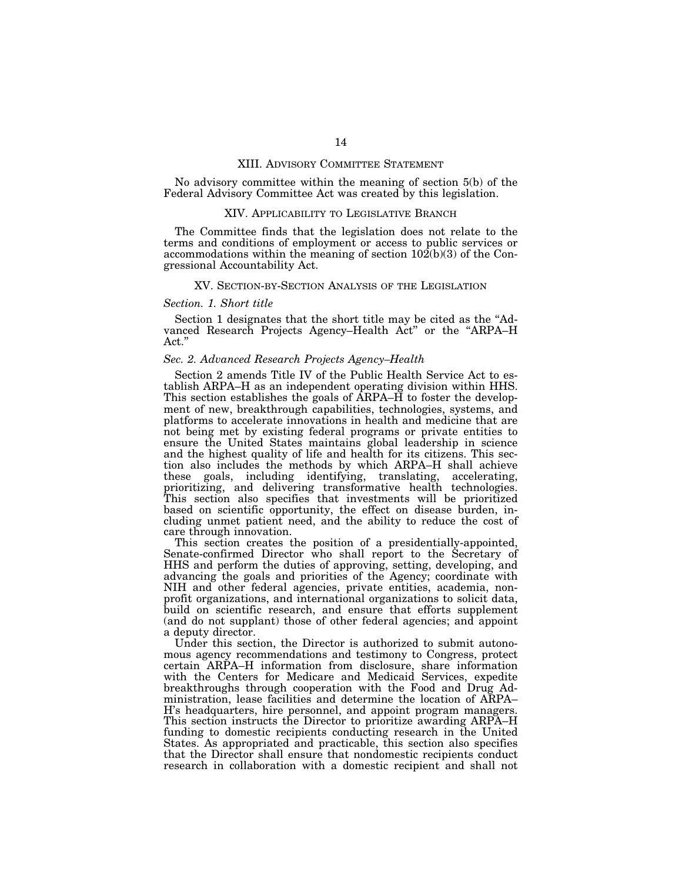#### XIII. ADVISORY COMMITTEE STATEMENT

No advisory committee within the meaning of section 5(b) of the Federal Advisory Committee Act was created by this legislation.

#### XIV. APPLICABILITY TO LEGISLATIVE BRANCH

The Committee finds that the legislation does not relate to the terms and conditions of employment or access to public services or accommodations within the meaning of section  $10\overline{2(b)}(3)$  of the Congressional Accountability Act.

#### XV. SECTION-BY-SECTION ANALYSIS OF THE LEGISLATION

#### *Section. 1. Short title*

Section 1 designates that the short title may be cited as the "Advanced Research Projects Agency–Health Act'' or the ''ARPA–H Act.''

#### *Sec. 2. Advanced Research Projects Agency–Health*

Section 2 amends Title IV of the Public Health Service Act to establish ARPA–H as an independent operating division within HHS. This section establishes the goals of ARPA–H to foster the development of new, breakthrough capabilities, technologies, systems, and platforms to accelerate innovations in health and medicine that are not being met by existing federal programs or private entities to ensure the United States maintains global leadership in science and the highest quality of life and health for its citizens. This section also includes the methods by which ARPA–H shall achieve these goals, including identifying, translating, accelerating, prioritizing, and delivering transformative health technologies. This section also specifies that investments will be prioritized based on scientific opportunity, the effect on disease burden, including unmet patient need, and the ability to reduce the cost of care through innovation.

This section creates the position of a presidentially-appointed, Senate-confirmed Director who shall report to the Secretary of HHS and perform the duties of approving, setting, developing, and advancing the goals and priorities of the Agency; coordinate with NIH and other federal agencies, private entities, academia, nonprofit organizations, and international organizations to solicit data, build on scientific research, and ensure that efforts supplement (and do not supplant) those of other federal agencies; and appoint a deputy director.

Under this section, the Director is authorized to submit autonomous agency recommendations and testimony to Congress, protect certain ARPA–H information from disclosure, share information with the Centers for Medicare and Medicaid Services, expedite breakthroughs through cooperation with the Food and Drug Administration, lease facilities and determine the location of ARPA– H's headquarters, hire personnel, and appoint program managers. This section instructs the Director to prioritize awarding ARPA–H funding to domestic recipients conducting research in the United States. As appropriated and practicable, this section also specifies that the Director shall ensure that nondomestic recipients conduct research in collaboration with a domestic recipient and shall not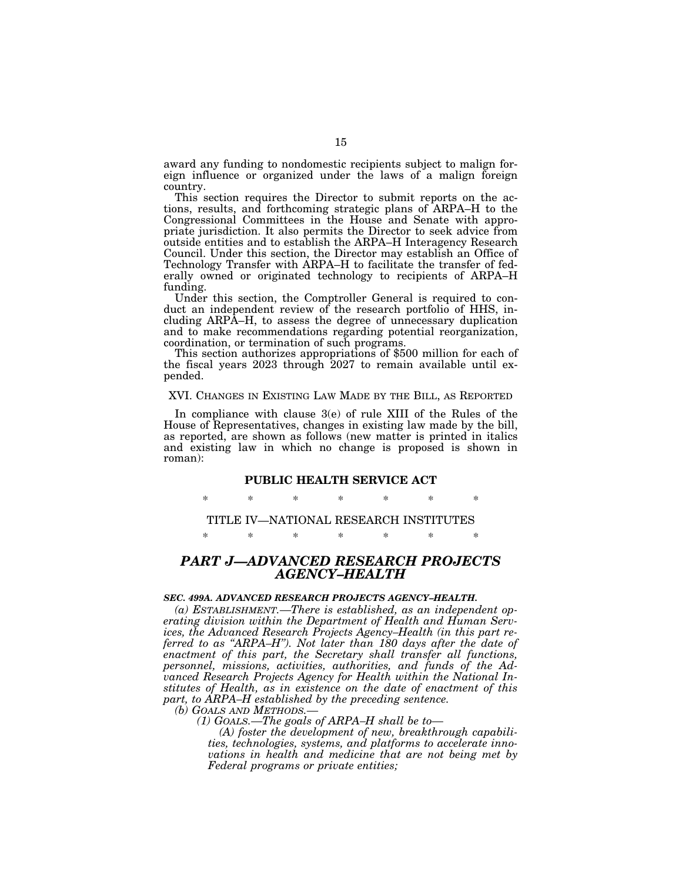award any funding to nondomestic recipients subject to malign foreign influence or organized under the laws of a malign foreign country.

This section requires the Director to submit reports on the actions, results, and forthcoming strategic plans of ARPA–H to the Congressional Committees in the House and Senate with appropriate jurisdiction. It also permits the Director to seek advice from outside entities and to establish the ARPA–H Interagency Research Council. Under this section, the Director may establish an Office of Technology Transfer with ARPA–H to facilitate the transfer of federally owned or originated technology to recipients of ARPA–H funding.

Under this section, the Comptroller General is required to conduct an independent review of the research portfolio of HHS, including ARPA–H, to assess the degree of unnecessary duplication and to make recommendations regarding potential reorganization,

coordination, or termination of such programs. This section authorizes appropriations of \$500 million for each of the fiscal years 2023 through 2027 to remain available until expended.

#### XVI. CHANGES IN EXISTING LAW MADE BY THE BILL, AS REPORTED

In compliance with clause 3(e) of rule XIII of the Rules of the House of Representatives, changes in existing law made by the bill, as reported, are shown as follows (new matter is printed in italics and existing law in which no change is proposed is shown in roman):

#### **PUBLIC HEALTH SERVICE ACT**

\* \* \* \* \* \* \*

# TITLE IV—NATIONAL RESEARCH INSTITUTES

\* \* \* \* \* \* \*

# *PART J—ADVANCED RESEARCH PROJECTS AGENCY–HEALTH*

## *SEC. 499A. ADVANCED RESEARCH PROJECTS AGENCY–HEALTH.*

*(a) ESTABLISHMENT.—There is established, as an independent operating division within the Department of Health and Human Services, the Advanced Research Projects Agency–Health (in this part referred to as ''ARPA–H''). Not later than 180 days after the date of enactment of this part, the Secretary shall transfer all functions, personnel, missions, activities, authorities, and funds of the Advanced Research Projects Agency for Health within the National Institutes of Health, as in existence on the date of enactment of this part, to ARPA–H established by the preceding sentence.* 

*(b) GOALS AND METHODS.— (1) GOALS.—The goals of ARPA–H shall be to—* 

*(A) foster the development of new, breakthrough capabilities, technologies, systems, and platforms to accelerate innovations in health and medicine that are not being met by Federal programs or private entities;*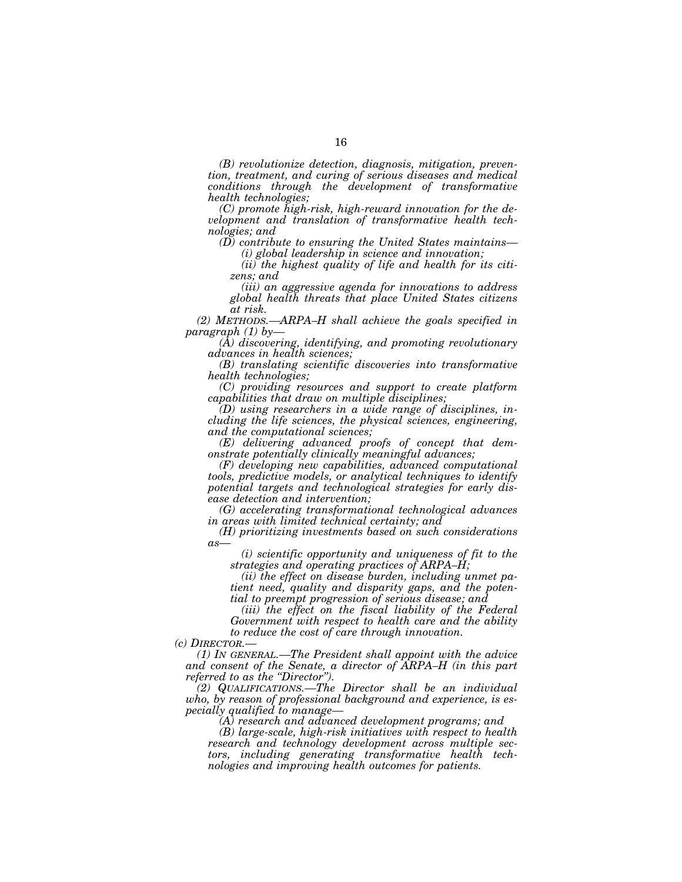*(B) revolutionize detection, diagnosis, mitigation, prevention, treatment, and curing of serious diseases and medical conditions through the development of transformative health technologies;* 

*(C) promote high-risk, high-reward innovation for the development and translation of transformative health technologies; and* 

*(D) contribute to ensuring the United States maintains—* 

*(i) global leadership in science and innovation; (ii) the highest quality of life and health for its citizens; and* 

*(iii) an aggressive agenda for innovations to address global health threats that place United States citizens at risk.* 

*(2) METHODS.—ARPA–H shall achieve the goals specified in paragraph (1) by—* 

*(A) discovering, identifying, and promoting revolutionary advances in health sciences;* 

*(B) translating scientific discoveries into transformative health technologies;* 

*(C) providing resources and support to create platform capabilities that draw on multiple disciplines;* 

*(D) using researchers in a wide range of disciplines, including the life sciences, the physical sciences, engineering, and the computational sciences;* 

*(E) delivering advanced proofs of concept that demonstrate potentially clinically meaningful advances;* 

*(F) developing new capabilities, advanced computational tools, predictive models, or analytical techniques to identify potential targets and technological strategies for early disease detection and intervention;* 

*(G) accelerating transformational technological advances in areas with limited technical certainty; and* 

*(H) prioritizing investments based on such considerations as—* 

*(i) scientific opportunity and uniqueness of fit to the strategies and operating practices of ARPA–H;* 

*(ii) the effect on disease burden, including unmet patient need, quality and disparity gaps, and the potential to preempt progression of serious disease; and* 

*(iii) the effect on the fiscal liability of the Federal Government with respect to health care and the ability to reduce the cost of care through innovation.* 

*(c) DIRECTOR.—* 

*(1) IN GENERAL.—The President shall appoint with the advice and consent of the Senate, a director of ARPA–H (in this part referred to as the ''Director'').* 

*(2) QUALIFICATIONS.—The Director shall be an individual who, by reason of professional background and experience, is especially qualified to manage—* 

*(A) research and advanced development programs; and* 

*(B) large-scale, high-risk initiatives with respect to health research and technology development across multiple sectors, including generating transformative health technologies and improving health outcomes for patients.*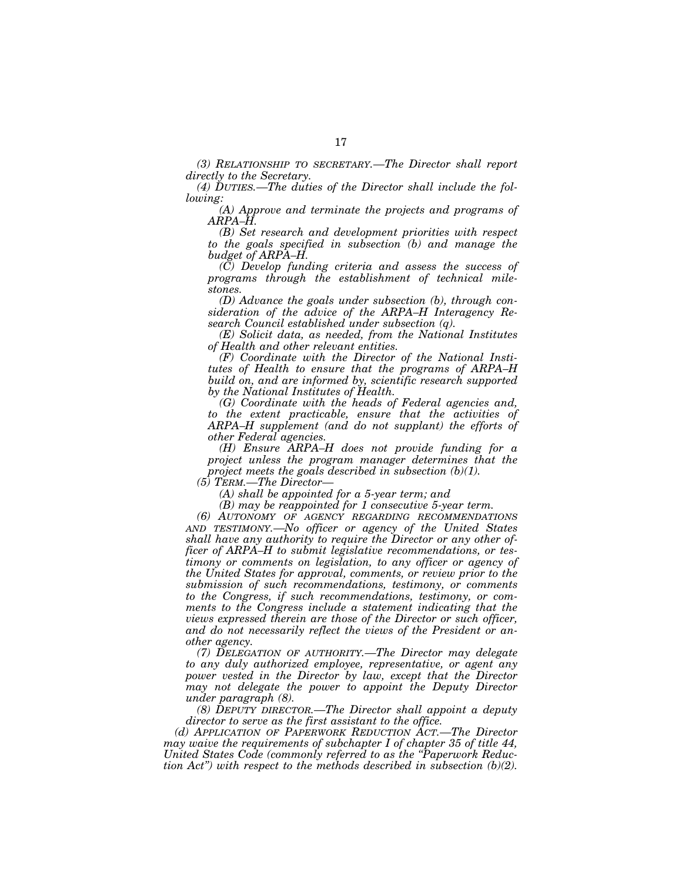*(3) RELATIONSHIP TO SECRETARY.—The Director shall report directly to the Secretary.* 

*(4) DUTIES.—The duties of the Director shall include the following:* 

*(A) Approve and terminate the projects and programs of ARPA–H.* 

*(B) Set research and development priorities with respect to the goals specified in subsection (b) and manage the budget of ARPA–H.* 

*(C) Develop funding criteria and assess the success of programs through the establishment of technical milestones.* 

*(D) Advance the goals under subsection (b), through consideration of the advice of the ARPA–H Interagency Research Council established under subsection (q).* 

*(E) Solicit data, as needed, from the National Institutes of Health and other relevant entities.* 

*(F) Coordinate with the Director of the National Institutes of Health to ensure that the programs of ARPA–H build on, and are informed by, scientific research supported by the National Institutes of Health.* 

*(G) Coordinate with the heads of Federal agencies and, to the extent practicable, ensure that the activities of ARPA–H supplement (and do not supplant) the efforts of other Federal agencies.* 

*(H) Ensure ARPA–H does not provide funding for a project unless the program manager determines that the project meets the goals described in subsection (b)(1).* 

*(5) TERM.—The Director—* 

*(A) shall be appointed for a 5-year term; and* 

*(B) may be reappointed for 1 consecutive 5-year term.* 

*(6) AUTONOMY OF AGENCY REGARDING RECOMMENDATIONS AND TESTIMONY.—No officer or agency of the United States shall have any authority to require the Director or any other officer of ARPA–H to submit legislative recommendations, or testimony or comments on legislation, to any officer or agency of the United States for approval, comments, or review prior to the submission of such recommendations, testimony, or comments to the Congress, if such recommendations, testimony, or comments to the Congress include a statement indicating that the views expressed therein are those of the Director or such officer, and do not necessarily reflect the views of the President or another agency.* 

*(7) DELEGATION OF AUTHORITY.—The Director may delegate to any duly authorized employee, representative, or agent any power vested in the Director by law, except that the Director may not delegate the power to appoint the Deputy Director under paragraph (8).* 

*(8) DEPUTY DIRECTOR.—The Director shall appoint a deputy director to serve as the first assistant to the office.* 

*(d) APPLICATION OF PAPERWORK REDUCTION ACT.—The Director may waive the requirements of subchapter I of chapter 35 of title 44, United States Code (commonly referred to as the ''Paperwork Reduction Act'') with respect to the methods described in subsection (b)(2).*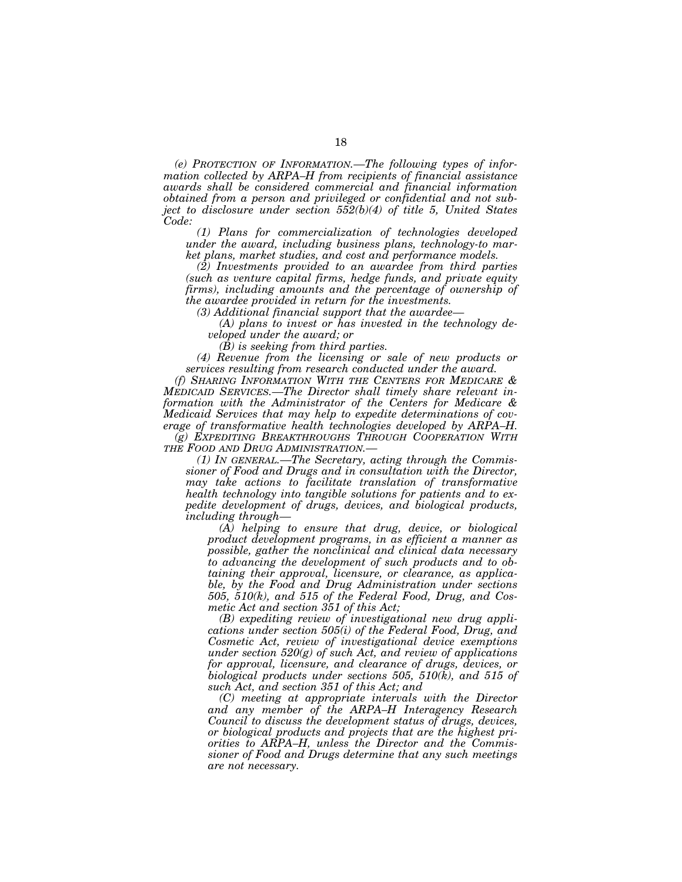*(e) PROTECTION OF INFORMATION.—The following types of information collected by ARPA–H from recipients of financial assistance awards shall be considered commercial and financial information obtained from a person and privileged or confidential and not subject to disclosure under section 552(b)(4) of title 5, United States Code:* 

*(1) Plans for commercialization of technologies developed under the award, including business plans, technology-to market plans, market studies, and cost and performance models.* 

*(2) Investments provided to an awardee from third parties (such as venture capital firms, hedge funds, and private equity firms), including amounts and the percentage of ownership of the awardee provided in return for the investments.* 

*(3) Additional financial support that the awardee—* 

*(A) plans to invest or has invested in the technology developed under the award; or* 

*(B) is seeking from third parties.* 

*(4) Revenue from the licensing or sale of new products or services resulting from research conducted under the award.* 

*(f) SHARING INFORMATION WITH THE CENTERS FOR MEDICARE & MEDICAID SERVICES.—The Director shall timely share relevant information with the Administrator of the Centers for Medicare & Medicaid Services that may help to expedite determinations of coverage of transformative health technologies developed by ARPA–H.* 

*(g) EXPEDITING BREAKTHROUGHS THROUGH COOPERATION WITH THE FOOD AND DRUG ADMINISTRATION.—* 

*(1) IN GENERAL.—The Secretary, acting through the Commissioner of Food and Drugs and in consultation with the Director, may take actions to facilitate translation of transformative health technology into tangible solutions for patients and to expedite development of drugs, devices, and biological products, including through—* 

*(A) helping to ensure that drug, device, or biological product development programs, in as efficient a manner as possible, gather the nonclinical and clinical data necessary to advancing the development of such products and to obtaining their approval, licensure, or clearance, as applicable, by the Food and Drug Administration under sections 505, 510(k), and 515 of the Federal Food, Drug, and Cosmetic Act and section 351 of this Act;* 

*(B) expediting review of investigational new drug applications under section 505(i) of the Federal Food, Drug, and Cosmetic Act, review of investigational device exemptions under section 520(g) of such Act, and review of applications for approval, licensure, and clearance of drugs, devices, or biological products under sections 505, 510(k), and 515 of such Act, and section 351 of this Act; and* 

*(C) meeting at appropriate intervals with the Director and any member of the ARPA–H Interagency Research Council to discuss the development status of drugs, devices, or biological products and projects that are the highest priorities to ARPA–H, unless the Director and the Commissioner of Food and Drugs determine that any such meetings are not necessary.*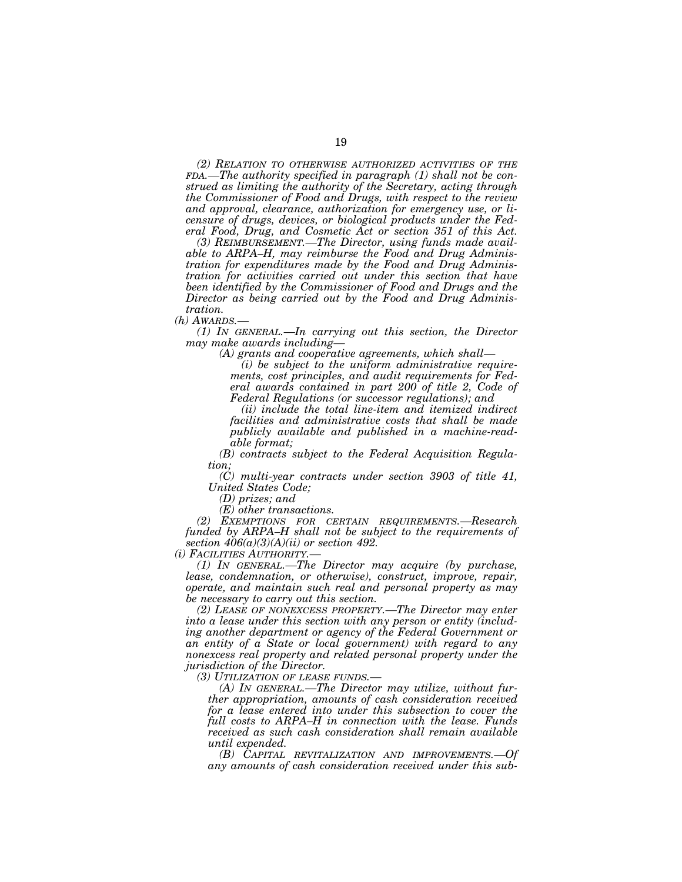*(2) RELATION TO OTHERWISE AUTHORIZED ACTIVITIES OF THE FDA.—The authority specified in paragraph (1) shall not be construed as limiting the authority of the Secretary, acting through the Commissioner of Food and Drugs, with respect to the review and approval, clearance, authorization for emergency use, or licensure of drugs, devices, or biological products under the Federal Food, Drug, and Cosmetic Act or section 351 of this Act.* 

*(3) REIMBURSEMENT.—The Director, using funds made available to ARPA–H, may reimburse the Food and Drug Administration for expenditures made by the Food and Drug Administration for activities carried out under this section that have been identified by the Commissioner of Food and Drugs and the Director as being carried out by the Food and Drug Administration.* 

*(h) AWARDS.—* 

*(1) IN GENERAL.—In carrying out this section, the Director may make awards including—* 

*(A) grants and cooperative agreements, which shall—* 

*(i) be subject to the uniform administrative requirements, cost principles, and audit requirements for Federal awards contained in part 200 of title 2, Code of Federal Regulations (or successor regulations); and* 

*(ii) include the total line-item and itemized indirect facilities and administrative costs that shall be made publicly available and published in a machine-readable format;* 

*(B) contracts subject to the Federal Acquisition Regulation;* 

*(C) multi-year contracts under section 3903 of title 41, United States Code;* 

*(D) prizes; and* 

*(E) other transactions.* 

*(2) EXEMPTIONS FOR CERTAIN REQUIREMENTS.—Research funded by ARPA–H shall not be subject to the requirements of section 406(a)(3)(A)(ii) or section 492.* 

*(i) FACILITIES AUTHORITY.— (1) IN GENERAL.—The Director may acquire (by purchase, lease, condemnation, or otherwise), construct, improve, repair, operate, and maintain such real and personal property as may be necessary to carry out this section.* 

*(2) LEASE OF NONEXCESS PROPERTY.—The Director may enter into a lease under this section with any person or entity (including another department or agency of the Federal Government or an entity of a State or local government) with regard to any nonexcess real property and related personal property under the jurisdiction of the Director.* 

*(3) UTILIZATION OF LEASE FUNDS.—* 

*(A) IN GENERAL.—The Director may utilize, without further appropriation, amounts of cash consideration received for a lease entered into under this subsection to cover the full costs to ARPA–H in connection with the lease. Funds received as such cash consideration shall remain available until expended.* 

*(B) CAPITAL REVITALIZATION AND IMPROVEMENTS.—Of any amounts of cash consideration received under this sub-*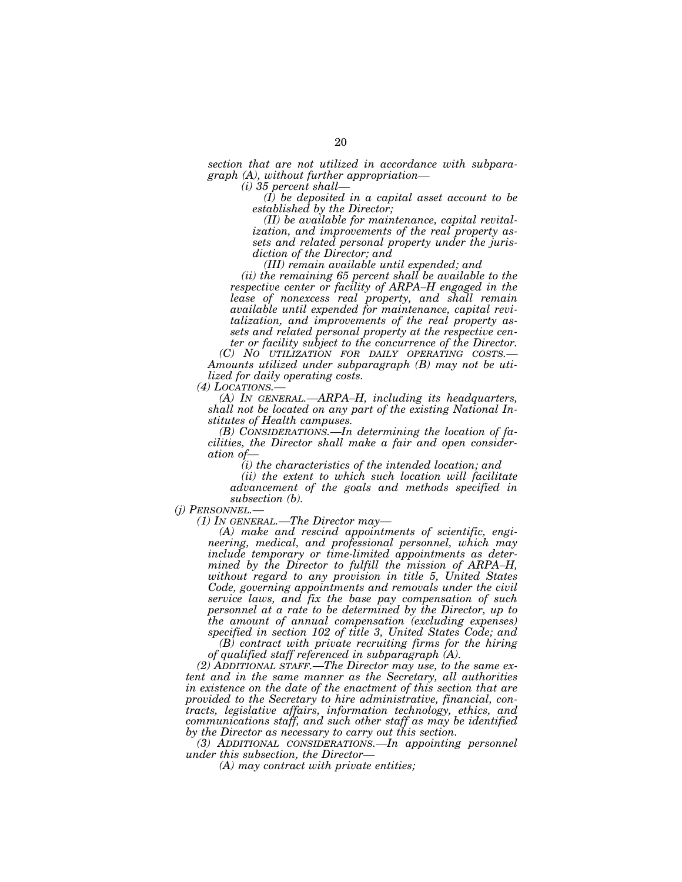*section that are not utilized in accordance with subparagraph (A), without further appropriation—* 

*(i) 35 percent shall—* 

*(I) be deposited in a capital asset account to be established by the Director;* 

*(II) be available for maintenance, capital revitalization, and improvements of the real property assets and related personal property under the jurisdiction of the Director; and* 

*(III) remain available until expended; and* 

*(ii) the remaining 65 percent shall be available to the respective center or facility of ARPA–H engaged in the lease of nonexcess real property, and shall remain available until expended for maintenance, capital revitalization, and improvements of the real property assets and related personal property at the respective cen-*

*ter or facility subject to the concurrence of the Director.*<br> *CO NO UTILIZATION FOR DAILY OPERATING COSTS. Amounts utilized under subparagraph (B) may not be utilized for daily operating costs.* 

*(4) LOCATIONS.— (A) IN GENERAL.—ARPA–H, including its headquarters, shall not be located on any part of the existing National Institutes of Health campuses.* 

*(B) CONSIDERATIONS.—In determining the location of facilities, the Director shall make a fair and open consideration of—* 

*(i) the characteristics of the intended location; and* 

*(ii) the extent to which such location will facilitate advancement of the goals and methods specified in subsection (b).* 

*(j) PERSONNEL.—* 

*(1) IN GENERAL.—The Director may—* 

*(A) make and rescind appointments of scientific, engineering, medical, and professional personnel, which may include temporary or time-limited appointments as determined by the Director to fulfill the mission of ARPA–H, without regard to any provision in title 5, United States Code, governing appointments and removals under the civil service laws, and fix the base pay compensation of such personnel at a rate to be determined by the Director, up to the amount of annual compensation (excluding expenses) specified in section 102 of title 3, United States Code; and (B) contract with private recruiting firms for the hiring of qualified staff referenced in subparagraph (A).* 

*(2) ADDITIONAL STAFF.—The Director may use, to the same extent and in the same manner as the Secretary, all authorities in existence on the date of the enactment of this section that are provided to the Secretary to hire administrative, financial, contracts, legislative affairs, information technology, ethics, and communications staff, and such other staff as may be identified by the Director as necessary to carry out this section.* 

*(3) ADDITIONAL CONSIDERATIONS.—In appointing personnel under this subsection, the Director—* 

*(A) may contract with private entities;*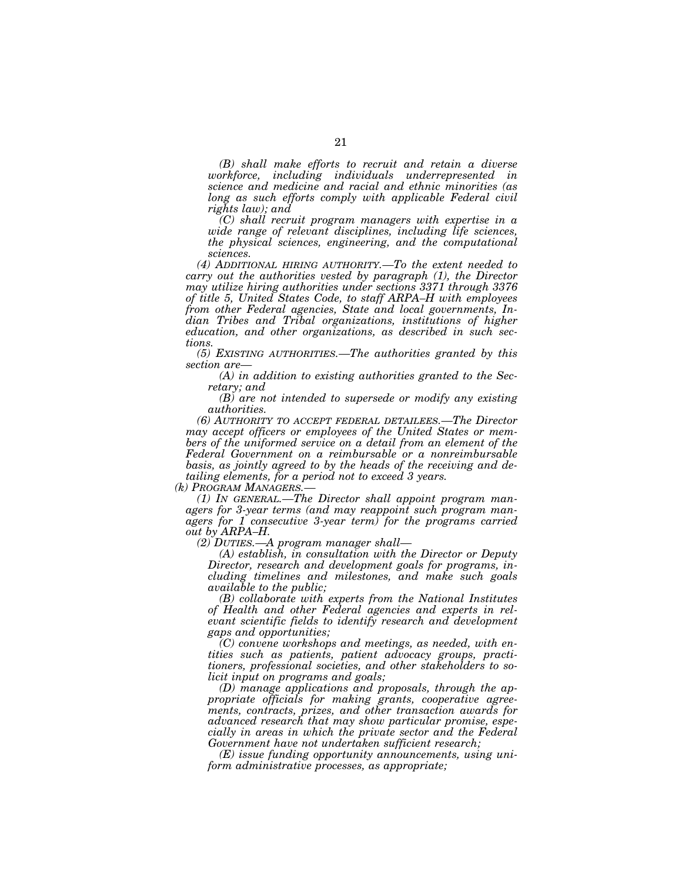*(B) shall make efforts to recruit and retain a diverse workforce, including individuals underrepresented in science and medicine and racial and ethnic minorities (as long as such efforts comply with applicable Federal civil rights law); and* 

*(C) shall recruit program managers with expertise in a wide range of relevant disciplines, including life sciences, the physical sciences, engineering, and the computational sciences.* 

*(4) ADDITIONAL HIRING AUTHORITY.—To the extent needed to carry out the authorities vested by paragraph (1), the Director may utilize hiring authorities under sections 3371 through 3376 of title 5, United States Code, to staff ARPA–H with employees from other Federal agencies, State and local governments, Indian Tribes and Tribal organizations, institutions of higher education, and other organizations, as described in such sections.* 

*(5) EXISTING AUTHORITIES.—The authorities granted by this section are—* 

*(A) in addition to existing authorities granted to the Secretary; and* 

*(B) are not intended to supersede or modify any existing authorities.* 

*(6) AUTHORITY TO ACCEPT FEDERAL DETAILEES.—The Director may accept officers or employees of the United States or members of the uniformed service on a detail from an element of the Federal Government on a reimbursable or a nonreimbursable basis, as jointly agreed to by the heads of the receiving and detailing elements, for a period not to exceed 3 years.* 

*(k) PROGRAM MANAGERS.—* 

*(1) IN GENERAL.—The Director shall appoint program managers for 3-year terms (and may reappoint such program managers for 1 consecutive 3-year term) for the programs carried out by ARPA–H.* 

*(2) DUTIES.—A program manager shall—* 

*(A) establish, in consultation with the Director or Deputy Director, research and development goals for programs, including timelines and milestones, and make such goals available to the public;* 

*(B) collaborate with experts from the National Institutes of Health and other Federal agencies and experts in relevant scientific fields to identify research and development gaps and opportunities;* 

*(C) convene workshops and meetings, as needed, with entities such as patients, patient advocacy groups, practitioners, professional societies, and other stakeholders to solicit input on programs and goals;* 

*(D) manage applications and proposals, through the appropriate officials for making grants, cooperative agreements, contracts, prizes, and other transaction awards for advanced research that may show particular promise, especially in areas in which the private sector and the Federal Government have not undertaken sufficient research;* 

*(E) issue funding opportunity announcements, using uniform administrative processes, as appropriate;*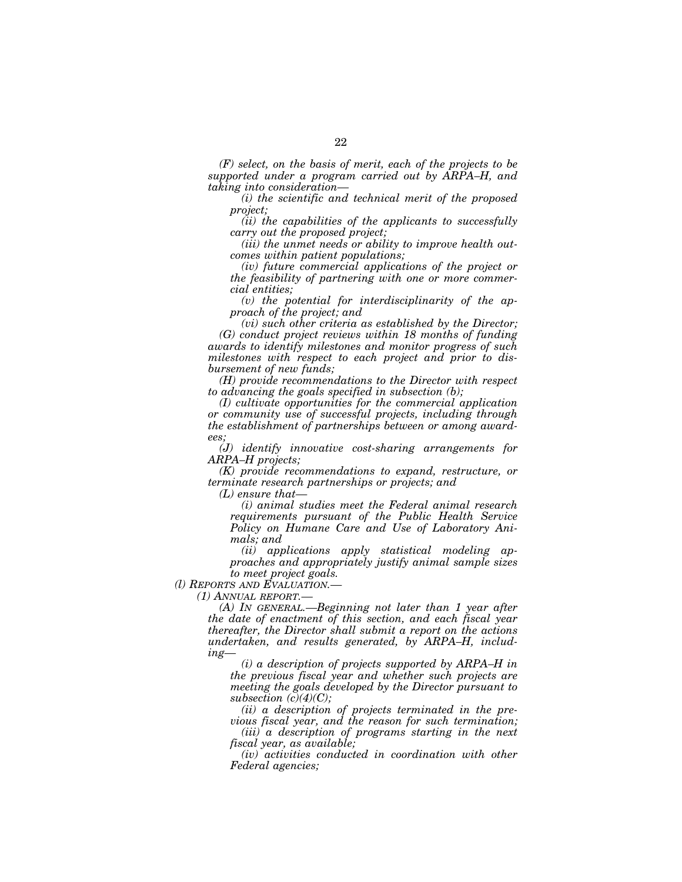*(F) select, on the basis of merit, each of the projects to be supported under a program carried out by ARPA–H, and taking into consideration—* 

*(i) the scientific and technical merit of the proposed project;* 

*(ii) the capabilities of the applicants to successfully carry out the proposed project;* 

*(iii) the unmet needs or ability to improve health outcomes within patient populations;* 

*(iv) future commercial applications of the project or the feasibility of partnering with one or more commercial entities;* 

*(v) the potential for interdisciplinarity of the approach of the project; and* 

*(vi) such other criteria as established by the Director; (G) conduct project reviews within 18 months of funding awards to identify milestones and monitor progress of such milestones with respect to each project and prior to disbursement of new funds;* 

*(H) provide recommendations to the Director with respect to advancing the goals specified in subsection (b);* 

*(I) cultivate opportunities for the commercial application or community use of successful projects, including through the establishment of partnerships between or among awardees;* 

*(J) identify innovative cost-sharing arrangements for ARPA–H projects;* 

*(K) provide recommendations to expand, restructure, or terminate research partnerships or projects; and* 

*(L) ensure that—* 

*(i) animal studies meet the Federal animal research requirements pursuant of the Public Health Service Policy on Humane Care and Use of Laboratory Animals; and* 

*(ii) applications apply statistical modeling approaches and appropriately justify animal sample sizes to meet project goals.* 

*(l) REPORTS AND EVALUATION.—* 

*(1) ANNUAL REPORT.—* 

*(A) IN GENERAL.—Beginning not later than 1 year after the date of enactment of this section, and each fiscal year thereafter, the Director shall submit a report on the actions undertaken, and results generated, by ARPA–H, including—* 

*(i) a description of projects supported by ARPA–H in the previous fiscal year and whether such projects are meeting the goals developed by the Director pursuant to subsection (c)(4)(C);* 

*(ii) a description of projects terminated in the previous fiscal year, and the reason for such termination;* 

*(iii) a description of programs starting in the next fiscal year, as available;* 

*(iv) activities conducted in coordination with other Federal agencies;*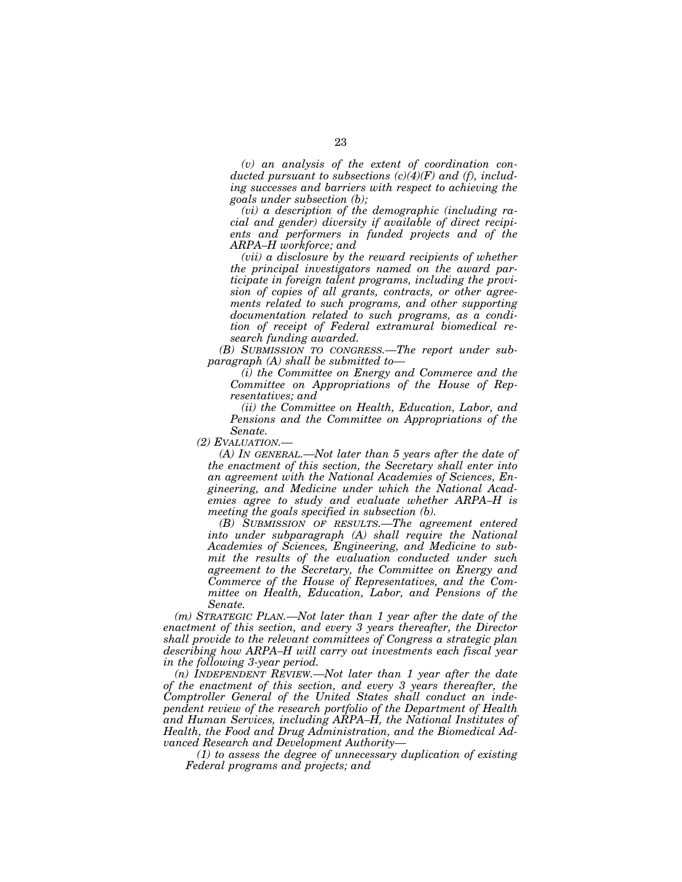*(v) an analysis of the extent of coordination conducted pursuant to subsections (c)(4)(F) and (f), including successes and barriers with respect to achieving the goals under subsection (b);* 

*(vi) a description of the demographic (including racial and gender) diversity if available of direct recipients and performers in funded projects and of the ARPA–H workforce; and* 

*(vii) a disclosure by the reward recipients of whether the principal investigators named on the award participate in foreign talent programs, including the provision of copies of all grants, contracts, or other agreements related to such programs, and other supporting documentation related to such programs, as a condition of receipt of Federal extramural biomedical research funding awarded.* 

*(B) SUBMISSION TO CONGRESS.—The report under subparagraph (A) shall be submitted to—* 

*(i) the Committee on Energy and Commerce and the Committee on Appropriations of the House of Representatives; and* 

*(ii) the Committee on Health, Education, Labor, and Pensions and the Committee on Appropriations of the Senate.* 

*(2) EVALUATION.—* 

*(A) IN GENERAL.—Not later than 5 years after the date of the enactment of this section, the Secretary shall enter into an agreement with the National Academies of Sciences, Engineering, and Medicine under which the National Academies agree to study and evaluate whether ARPA–H is meeting the goals specified in subsection (b).* 

*(B) SUBMISSION OF RESULTS.—The agreement entered into under subparagraph (A) shall require the National Academies of Sciences, Engineering, and Medicine to submit the results of the evaluation conducted under such agreement to the Secretary, the Committee on Energy and Commerce of the House of Representatives, and the Committee on Health, Education, Labor, and Pensions of the Senate.* 

*(m) STRATEGIC PLAN.—Not later than 1 year after the date of the enactment of this section, and every 3 years thereafter, the Director shall provide to the relevant committees of Congress a strategic plan describing how ARPA–H will carry out investments each fiscal year in the following 3-year period.* 

*(n) INDEPENDENT REVIEW.—Not later than 1 year after the date of the enactment of this section, and every 3 years thereafter, the Comptroller General of the United States shall conduct an independent review of the research portfolio of the Department of Health and Human Services, including ARPA–H, the National Institutes of Health, the Food and Drug Administration, and the Biomedical Advanced Research and Development Authority—* 

*(1) to assess the degree of unnecessary duplication of existing Federal programs and projects; and*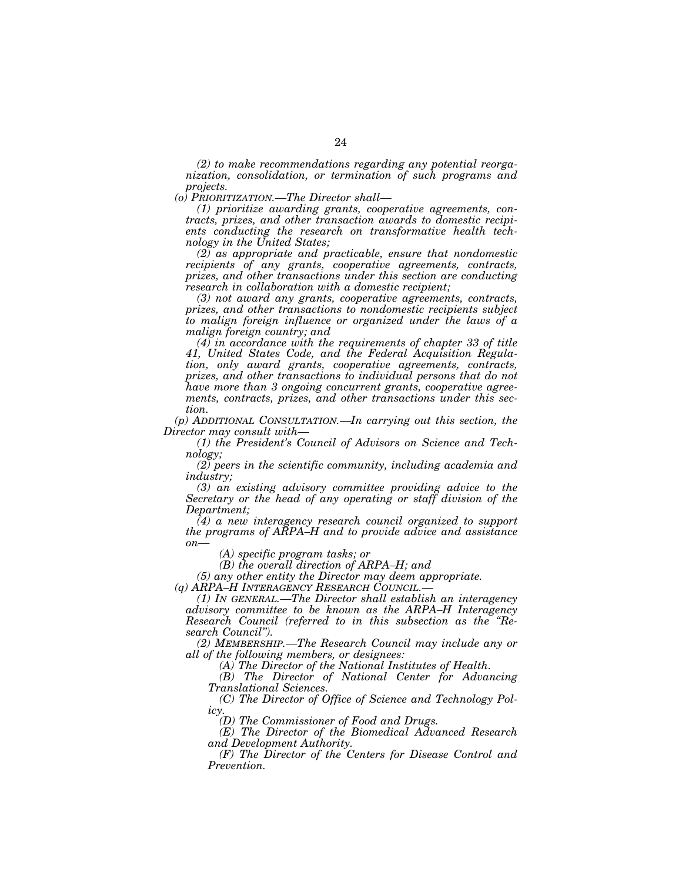*(2) to make recommendations regarding any potential reorganization, consolidation, or termination of such programs and projects.* 

*(o) PRIORITIZATION.—The Director shall—* 

*(1) prioritize awarding grants, cooperative agreements, contracts, prizes, and other transaction awards to domestic recipients conducting the research on transformative health technology in the United States;* 

*(2) as appropriate and practicable, ensure that nondomestic recipients of any grants, cooperative agreements, contracts, prizes, and other transactions under this section are conducting research in collaboration with a domestic recipient;* 

*(3) not award any grants, cooperative agreements, contracts, prizes, and other transactions to nondomestic recipients subject to malign foreign influence or organized under the laws of a malign foreign country; and* 

*(4) in accordance with the requirements of chapter 33 of title 41, United States Code, and the Federal Acquisition Regulation, only award grants, cooperative agreements, contracts, prizes, and other transactions to individual persons that do not have more than 3 ongoing concurrent grants, cooperative agreements, contracts, prizes, and other transactions under this section.* 

*(p) ADDITIONAL CONSULTATION.—In carrying out this section, the Director may consult with—* 

*(1) the President's Council of Advisors on Science and Technology;* 

*(2) peers in the scientific community, including academia and industry;* 

*(3) an existing advisory committee providing advice to the Secretary or the head of any operating or staff division of the Department;* 

*(4) a new interagency research council organized to support the programs of ARPA–H and to provide advice and assistance on—* 

*(A) specific program tasks; or* 

*(B) the overall direction of ARPA–H; and* 

*(5) any other entity the Director may deem appropriate.* 

*(1) IN GENERAL.—The Director shall establish an interagency advisory committee to be known as the ARPA–H Interagency Research Council (referred to in this subsection as the ''Research Council'').* 

*(2) MEMBERSHIP.—The Research Council may include any or all of the following members, or designees:* 

*(A) The Director of the National Institutes of Health.* 

*(B) The Director of National Center for Advancing Translational Sciences.* 

*(C) The Director of Office of Science and Technology Policy.* 

*(D) The Commissioner of Food and Drugs.* 

*(E) The Director of the Biomedical Advanced Research and Development Authority.* 

*(F) The Director of the Centers for Disease Control and Prevention.*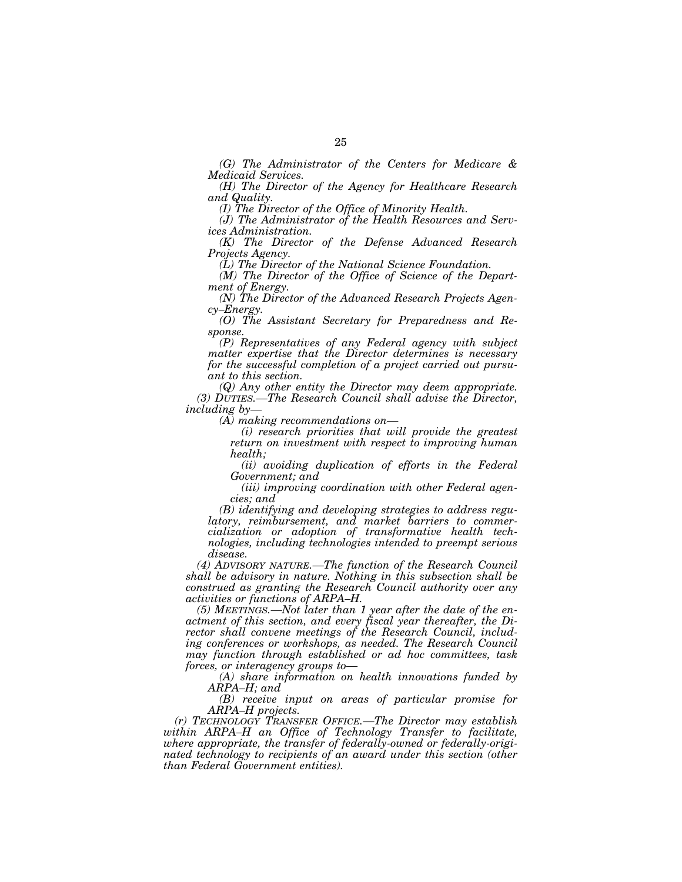*(G) The Administrator of the Centers for Medicare & Medicaid Services.* 

*(H) The Director of the Agency for Healthcare Research and Quality.* 

*(I) The Director of the Office of Minority Health.* 

*(J) The Administrator of the Health Resources and Services Administration.* 

*(K) The Director of the Defense Advanced Research Projects Agency.* 

*(L) The Director of the National Science Foundation.* 

*(M) The Director of the Office of Science of the Department of Energy.* 

*(N) The Director of the Advanced Research Projects Agency–Energy.* 

*(O) The Assistant Secretary for Preparedness and Response.* 

*(P) Representatives of any Federal agency with subject matter expertise that the Director determines is necessary for the successful completion of a project carried out pursuant to this section.* 

*(Q) Any other entity the Director may deem appropriate. (3) DUTIES.—The Research Council shall advise the Director, including by—* 

*(A) making recommendations on—* 

*(i) research priorities that will provide the greatest return on investment with respect to improving human health;* 

*(ii) avoiding duplication of efforts in the Federal Government; and* 

*(iii) improving coordination with other Federal agencies; and* 

*(B) identifying and developing strategies to address regulatory, reimbursement, and market barriers to commercialization or adoption of transformative health technologies, including technologies intended to preempt serious disease.* 

*(4) ADVISORY NATURE.—The function of the Research Council shall be advisory in nature. Nothing in this subsection shall be construed as granting the Research Council authority over any activities or functions of ARPA–H.* 

*(5) MEETINGS.—Not later than 1 year after the date of the enactment of this section, and every fiscal year thereafter, the Director shall convene meetings of the Research Council, including conferences or workshops, as needed. The Research Council may function through established or ad hoc committees, task forces, or interagency groups to—* 

*(A) share information on health innovations funded by ARPA–H; and* 

*(B) receive input on areas of particular promise for ARPA–H projects.* 

*(r) TECHNOLOGY TRANSFER OFFICE.—The Director may establish within ARPA–H an Office of Technology Transfer to facilitate, where appropriate, the transfer of federally-owned or federally-originated technology to recipients of an award under this section (other than Federal Government entities).*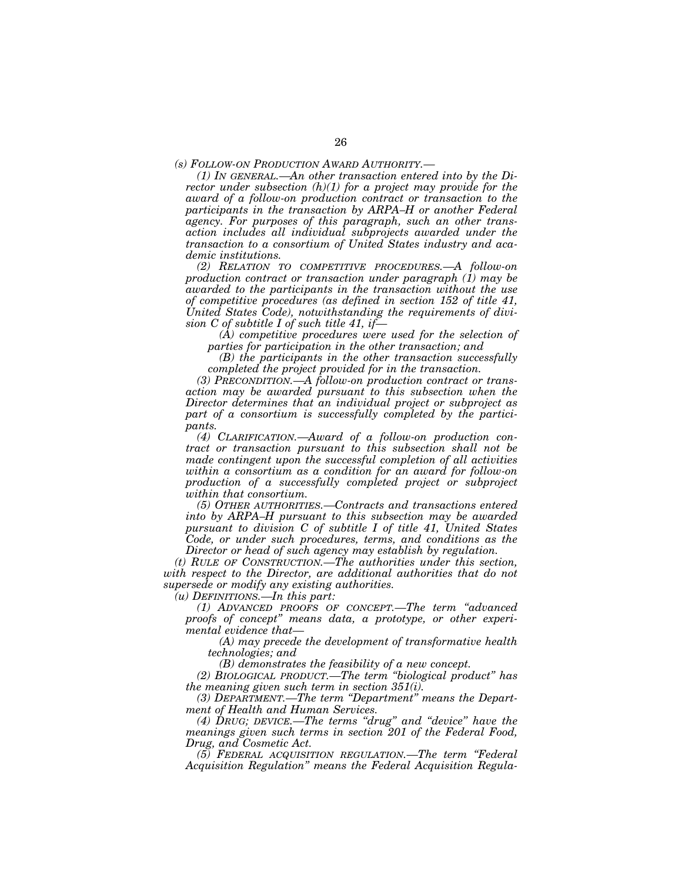*(1) IN GENERAL.—An other transaction entered into by the Director under subsection (h)(1) for a project may provide for the award of a follow-on production contract or transaction to the participants in the transaction by ARPA–H or another Federal agency. For purposes of this paragraph, such an other transaction includes all individual subprojects awarded under the transaction to a consortium of United States industry and academic institutions.* 

*(2) RELATION TO COMPETITIVE PROCEDURES.—A follow-on production contract or transaction under paragraph (1) may be awarded to the participants in the transaction without the use of competitive procedures (as defined in section 152 of title 41, United States Code), notwithstanding the requirements of division C of subtitle I of such title 41, if—* 

*(A) competitive procedures were used for the selection of parties for participation in the other transaction; and* 

*(B) the participants in the other transaction successfully completed the project provided for in the transaction.* 

*(3) PRECONDITION.—A follow-on production contract or transaction may be awarded pursuant to this subsection when the Director determines that an individual project or subproject as part of a consortium is successfully completed by the participants.* 

*(4) CLARIFICATION.—Award of a follow-on production contract or transaction pursuant to this subsection shall not be made contingent upon the successful completion of all activities within a consortium as a condition for an award for follow-on production of a successfully completed project or subproject within that consortium.* 

*(5) OTHER AUTHORITIES.—Contracts and transactions entered into by ARPA–H pursuant to this subsection may be awarded pursuant to division C of subtitle I of title 41, United States Code, or under such procedures, terms, and conditions as the Director or head of such agency may establish by regulation.* 

*(t) RULE OF CONSTRUCTION.—The authorities under this section, with respect to the Director, are additional authorities that do not supersede or modify any existing authorities.* 

*(u) DEFINITIONS.—In this part:* 

*(1) ADVANCED PROOFS OF CONCEPT.—The term ''advanced proofs of concept'' means data, a prototype, or other experimental evidence that—* 

*(A) may precede the development of transformative health technologies; and* 

*(B) demonstrates the feasibility of a new concept.* 

*(2) BIOLOGICAL PRODUCT.—The term ''biological product'' has the meaning given such term in section 351(i).* 

*(3) DEPARTMENT.—The term ''Department'' means the Department of Health and Human Services.* 

*(4) DRUG; DEVICE.—The terms ''drug'' and ''device'' have the meanings given such terms in section 201 of the Federal Food, Drug, and Cosmetic Act.* 

*(5) FEDERAL ACQUISITION REGULATION.—The term ''Federal Acquisition Regulation'' means the Federal Acquisition Regula-*